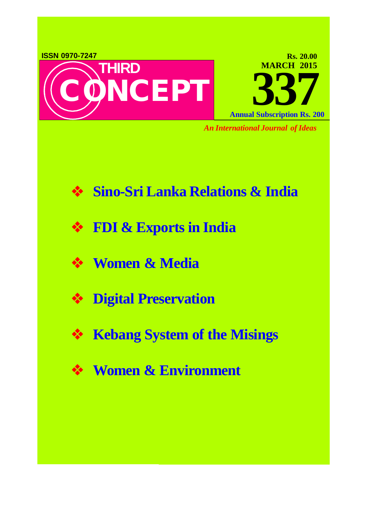

- **Sino-Sri Lanka Relations & India**
- **FDI & Exports in India**
- **Women & Media**
- **Digital Preservation**
- **Kebang System of the Misings**
- **Women & Environment**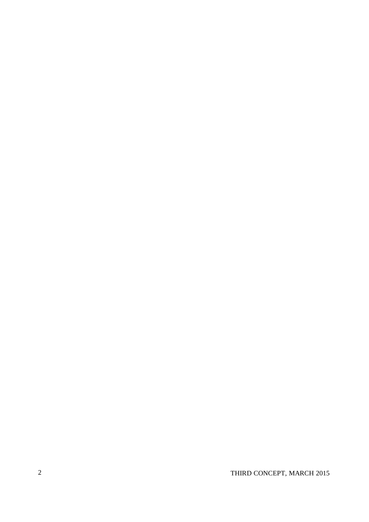2 THIRD CONCEPT, MARCH 2015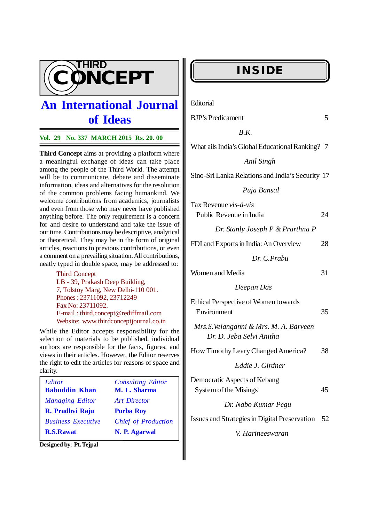

# **An International Journal of Ideas**

### **Vol. 29 No. 337 MARCH 2015 Rs. 20. 00**

**Third Concept** aims at providing a platform where a meaningful exchange of ideas can take place among the people of the Third World. The attempt will be to communicate, debate and disseminate information, ideas and alternatives for the resolution of the common problems facing humankind. We welcome contributions from academics, journalists and even from those who may never have published anything before. The only requirement is a concern for and desire to understand and take the issue of our time. Contributions may be descriptive, analytical or theoretical. They may be in the form of original articles, reactions to previous contributions, or even a comment on a prevailing situation. All contributions, neatly typed in double space, may be addressed to:

> Third Concept LB - 39, Prakash Deep Building, 7, Tolstoy Marg, New Delhi-110 001. Phones : 23711092, 23712249 Fax No: 23711092. E-mail : third.concept@rediffmail.com Website: www.thirdconceptjournal.co.in

While the Editor accepts responsibility for the selection of materials to be published, individual authors are responsible for the facts, figures, and views in their articles. However, the Editor reserves the right to edit the articles for reasons of space and clarity.

| Editor<br><b>Babuddin Khan</b> | <b>Consulting Editor</b><br>M. L. Sharma |
|--------------------------------|------------------------------------------|
| <b>Managing Editor</b>         | <b>Art Director</b>                      |
| R. Prudhvi Raju                | <b>Purba Roy</b>                         |
| <b>Business Executive</b>      | <b>Chief of Production</b>               |
| <b>R.S.Rawat</b>               | N. P. Agarwal                            |

**Designed by**: **Pt. Tejpal**

# **INSIDE**

**Editorial** 

BJP's Predicament 5

 *B.K.*

What ails India's Global Educational Ranking? 7

 *Anil Singh*

Sino-Sri Lanka Relations and India's Security 17

## *Puja Bansal*

| Tax Revenue <i>vis-à-vis</i> |    |
|------------------------------|----|
| Public Revenue in India      | 24 |

 *Dr. Stanly Joseph P & Prarthna P*

| FDI and Exports in India: An Overview | 28 |
|---------------------------------------|----|
|                                       |    |

 *Dr. C.Prabu*

| Women and Media |  |
|-----------------|--|
|                 |  |

 *Deepan Das*

| <b>Ethical Perspective of Women towards</b> |    |
|---------------------------------------------|----|
| Environment                                 | 35 |

 *Mrs.S.Velanganni & Mrs. M. A. Barveen Dr. D. Jeba Selvi Anitha*

| How Timothy Leary Changed America? | 38 |
|------------------------------------|----|
|                                    |    |

 *Eddie J. Girdner*

| Democratic Aspects of Kebang |    |
|------------------------------|----|
| System of the Misings        | 45 |

## *Dr. Nabo Kumar Pegu*

Issues and Strategies in Digital Preservation 52

 *V. Harineeswaran*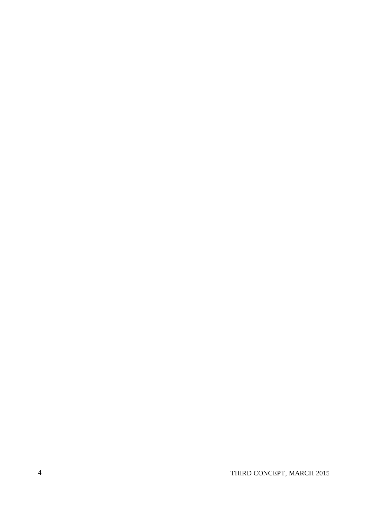THIRD CONCEPT, MARCH 2015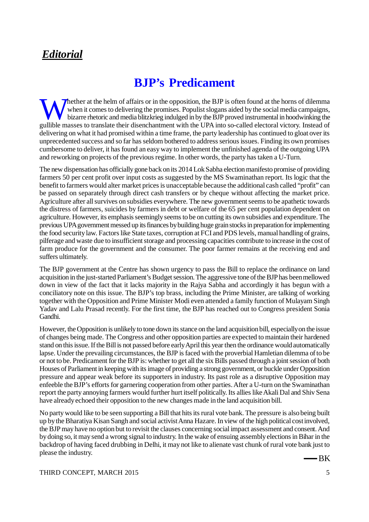# *Editorial*

# **BJP's Predicament**

When it comes to delivering the promises. Populist slogans aided by the social media campaigns, bizarre rhetoric and media blitzkrieg indulged in by the BJP proved instrumental in hoodwinking the gullible masses to transla hether at the helm of affairs or in the opposition, the BJP is often found at the horns of dilemma when it comes to delivering the promises. Populist slogans aided by the social media campaigns, bizarre rhetoric and media blitzkrieg indulged in by the BJP proved instrumental in hoodwinking the delivering on what it had promised within a time frame, the party leadership has continued to gloat over its unprecedented success and so far has seldom bothered to address serious issues. Finding its own promises cumbersome to deliver, it has found an easy way to implement the unfinished agenda of the outgoing UPA and reworking on projects of the previous regime. In other words, the party has taken a U-Turn.

The new dispensation has officially gone back on its 2014 Lok Sabha election manifesto promise of providing farmers 50 per cent profit over input costs as suggested by the MS Swaminathan report. Its logic that the benefit to farmers would alter market prices is unacceptable because the additional cash called "profit" can be passed on separately through direct cash transfers or by cheque without affecting the market price. Agriculture after all survives on subsidies everywhere. The new government seems to be apathetic towards the distress of farmers, suicides by farmers in debt or welfare of the 65 per cent population dependent on agriculture. However, its emphasis seemingly seems to be on cutting its own subsidies and expenditure. The previous UPA government messed up its finances by building huge grain stocks in preparation for implementing the food security law. Factors like State taxes, corruption at FCI and PDS levels, manual handling of grains, pilferage and waste due to insufficient storage and processing capacities contribute to increase in the cost of farm produce for the government and the consumer. The poor farmer remains at the receiving end and suffers ultimately.

The BJP government at the Centre has shown urgency to pass the Bill to replace the ordinance on land acquisition in the just-started Parliament's Budget session. The aggressive tone of the BJP has been mellowed down in view of the fact that it lacks majority in the Rajya Sabha and accordingly it has begun with a conciliatory note on this issue. The BJP's top brass, including the Prime Minister, are talking of working together with the Opposition and Prime Minister Modi even attended a family function of Mulayam Singh Yadav and Lalu Prasad recently. For the first time, the BJP has reached out to Congress president Sonia Gandhi.

However, the Opposition is unlikely to tone down its stance on the land acquisition bill, especially on the issue of changes being made. The Congress and other opposition parties are expected to maintain their hardened stand on this issue. If the Bill is not passed before early April this year then the ordinance would automatically lapse. Under the prevailing circumstances, the BJP is faced with the proverbial Hamletian dilemma of to be or not to be. Predicament for the BJP is: whether to get all the six Bills passed through a joint session of both Houses of Parliament in keeping with its image of providing a strong government, or buckle under Opposition pressure and appear weak before its supporters in industry. Its past role as a disruptive Opposition may enfeeble the BJP's efforts for garnering cooperation from other parties. After a U-turn on the Swaminathan report the party annoying farmers would further hurt itself politically. Its allies like Akali Dal and Shiv Sena have already echoed their opposition to the new changes made in the land acquisition bill.

No party would like to be seen supporting a Bill that hits its rural vote bank. The pressure is also being built up by the Bharatiya Kisan Sangh and social activist Anna Hazare. In view of the high political cost involved, the BJP may have no option but to revisit the clauses concerning social impact assessment and consent. And by doing so, it may send a wrong signal to industry. In the wake of ensuing assembly elections in Bihar in the backdrop of having faced drubbing in Delhi, it may not like to alienate vast chunk of rural vote bank just to please the industry.

-BK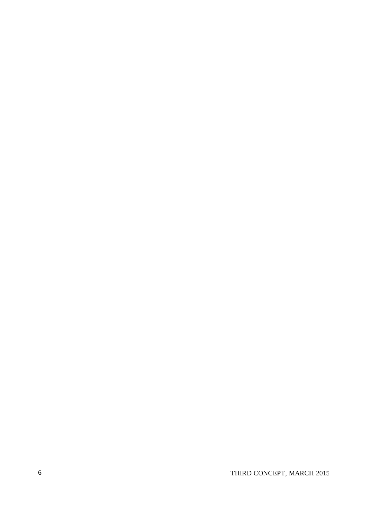THIRD CONCEPT, MARCH 2015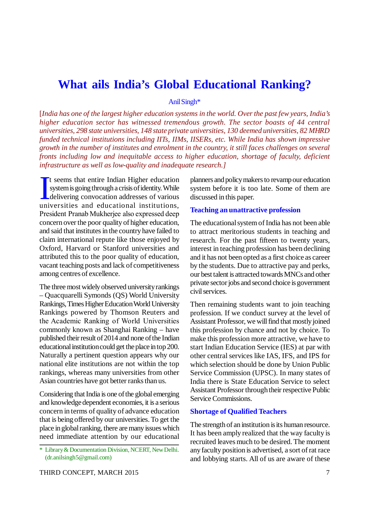# **What ails India's Global Educational Ranking?**

Anil Singh\*

[*India has one of the largest higher education systems in the world. Over the past few years, India's higher education sector has witnessed tremendous growth. The sector boasts of 44 central universities, 298 state universities, 148 state private universities, 130 deemed universities, 82 MHRD funded technical institutions including IITs, IIMs, IISERs, etc. While India has shown impressive growth in the number of institutes and enrolment in the country, it still faces challenges on several fronts including low and inequitable access to higher education, shortage of faculty, deficient infrastructure as well as low-quality and inadequate research.]*

**I** t seems that entire Indian Higher education system is going through a crisis of identity. While delivering convocation addresses of various universities and educational institutions, President Pranab Mukherjee also expressed deep concern over the poor quality of higher education, and said that institutes in the country have failed to claim international repute like those enjoyed by Oxford, Harvard or Stanford universities and attributed this to the poor quality of education, vacant teaching posts and lack of competitiveness among centres of excellence.

The three most widely observed university rankings – Quacquarelli Symonds (QS) World University Rankings, Times Higher Education World University Rankings powered by Thomson Reuters and the Academic Ranking of World Universities commonly known as Shanghai Ranking – have published their result of 2014 and none of the Indian educational institution could get the place in top 200. Naturally a pertinent question appears why our national elite institutions are not within the top rankings, whereas many universities from other Asian countries have got better ranks than us.

Considering that India is one of the global emerging and knowledge dependent economies, it is a serious concern in terms of quality of advance education that is being offered by our universities. To get the place in global ranking, there are many issues which need immediate attention by our educational planners and policy makers to revamp our education system before it is too late. Some of them are discussed in this paper.

### **Teaching an unattractive profession**

The educational system of India has not been able to attract meritorious students in teaching and research. For the past fifteen to twenty years, interest in teaching profession has been declining and it has not been opted as a first choice as career by the students. Due to attractive pay and perks, our best talent is attracted towards MNCs and other private sector jobs and second choice is government civil services.

Then remaining students want to join teaching profession. If we conduct survey at the level of Assistant Professor, we will find that mostly joined this profession by chance and not by choice. To make this profession more attractive, we have to start Indian Education Service (IES) at par with other central services like IAS, IFS, and IPS for which selection should be done by Union Public Service Commission (UPSC). In many states of India there is State Education Service to select Assistant Professor through their respective Public Service Commissions.

### **Shortage of Qualified Teachers**

The strength of an institution is its human resource. It has been amply realized that the way faculty is recruited leaves much to be desired. The moment any faculty position is advertised, a sort of rat race and lobbying starts. All of us are aware of these

<sup>\*</sup> Library & Documentation Division, NCERT, New Delhi. (dr.anilsingh5@gmail.com)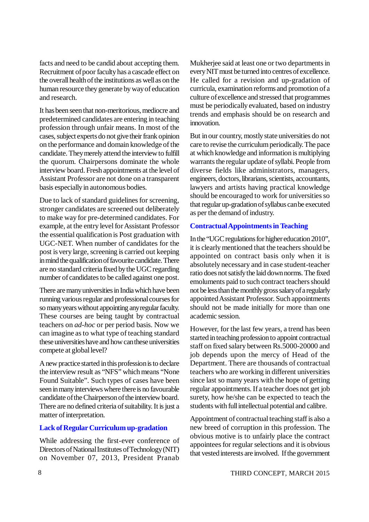facts and need to be candid about accepting them. Recruitment of poor faculty has a cascade effect on the overall health of the institutions as well as on the human resource they generate by way of education and research.

It has been seen that non-meritorious, mediocre and predetermined candidates are entering in teaching profession through unfair means. In most of the cases, subject experts do not give their frank opinion on the performance and domain knowledge of the candidate. They merely attend the interview to fulfill the quorum. Chairpersons dominate the whole interview board. Fresh appointments at the level of Assistant Professor are not done on a transparent basis especially in autonomous bodies.

Due to lack of standard guidelines for screening, stronger candidates are screened out deliberately to make way for pre-determined candidates. For example, at the entry level for Assistant Professor the essential qualification is Post graduation with UGC-NET. When number of candidates for the post is very large, screening is carried out keeping in mind the qualification of favourite candidate. There are no standard criteria fixed by the UGC regarding number of candidates to be called against one post.

There are many universities in India which have been running various regular and professional courses for so many years without appointing any regular faculty. These courses are being taught by contractual teachers on *ad-hoc* or per period basis. Now we can imagine as to what type of teaching standard these universities have and how can these universities compete at global level?

A new practice started in this profession is to declare the interview result as "NFS" which means "None Found Suitable". Such types of cases have been seen in many interviews where there is no favourable candidate of the Chairperson of the interview board. There are no defined criteria of suitability. It is just a matter of interpretation.

### **Lack of Regular Curriculum up-gradation**

While addressing the first-ever conference of Directors of National Institutes of Technology (NIT) on November 07, 2013, President Pranab

Mukherjee said at least one or two departments in every NIT must be turned into centres of excellence. He called for a revision and up-gradation of curricula, examination reforms and promotion of a culture of excellence and stressed that programmes must be periodically evaluated, based on industry trends and emphasis should be on research and innovation.

But in our country, mostly state universities do not care to revise the curriculum periodically. The pace at which knowledge and information is multiplying warrants the regular update of syllabi. People from diverse fields like administrators, managers, engineers, doctors, librarians, scientists, accountants, lawyers and artists having practical knowledge should be encouraged to work for universities so that regular up-gradation of syllabus can be executed as per the demand of industry.

#### **Contractual Appointments in Teaching**

In the "UGC regulations for higher education 2010", it is clearly mentioned that the teachers should be appointed on contract basis only when it is absolutely necessary and in case student-teacher ratio does not satisfy the laid down norms. The fixed emoluments paid to such contract teachers should not be less than the monthly gross salary of a regularly appointed Assistant Professor. Such appointments should not be made initially for more than one academic session.

However, for the last few years, a trend has been started in teaching profession to appoint contractual staff on fixed salary between Rs.5000-20000 and job depends upon the mercy of Head of the Department. There are thousands of contractual teachers who are working in different universities since last so many years with the hope of getting regular appointments. If a teacher does not get job surety, how he/she can be expected to teach the students with full intellectual potential and calibre.

Appointment of contractual teaching staff is also a new breed of corruption in this profession. The obvious motive is to unfairly place the contract appointees for regular selections and it is obvious that vested interests are involved. If the government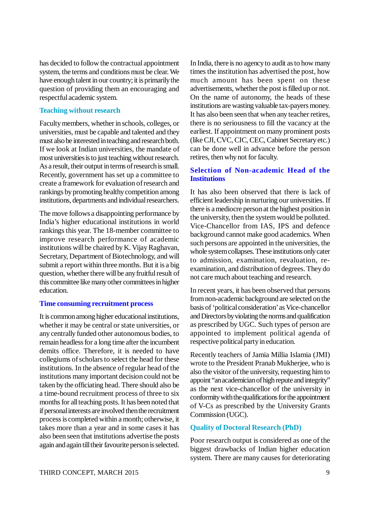has decided to follow the contractual appointment system, the terms and conditions must be clear. We have enough talent in our country; it is primarily the question of providing them an encouraging and respectful academic system.

#### **Teaching without research**

Faculty members, whether in schools, colleges, or universities, must be capable and talented and they must also be interested in teaching and research both. If we look at Indian universities, the mandate of most universities is to just teaching without research. As a result, their output in terms of research is small. Recently, government has set up a committee to create a framework for evaluation of research and rankings by promoting healthy competition among institutions, departments and individual researchers.

The move follows a disappointing performance by India's higher educational institutions in world rankings this year. The 18-member committee to improve research performance of academic institutions will be chaired by K. Vijay Raghavan, Secretary, Department of Biotechnology, and will submit a report within three months. But it is a big question, whether there will be any fruitful result of this committee like many other committees in higher education.

### **Time consuming recruitment process**

It is common among higher educational institutions, whether it may be central or state universities, or any centrally funded other autonomous bodies, to remain headless for a long time after the incumbent demits office. Therefore, it is needed to have collegiums of scholars to select the head for these institutions. In the absence of regular head of the institutions many important decision could not be taken by the officiating head. There should also be a time-bound recruitment process of three to six months for all teaching posts. It has been noted that if personal interests are involved then the recruitment process is completed within a month; otherwise, it takes more than a year and in some cases it has also been seen that institutions advertise the posts again and again till their favourite person is selected.

In India, there is no agency to audit as to how many times the institution has advertised the post, how much amount has been spent on these advertisements, whether the post is filled up or not. On the name of autonomy, the heads of these institutions are wasting valuable tax-payers money. It has also been seen that when any teacher retires, there is no seriousness to fill the vacancy at the earliest. If appointment on many prominent posts (like CJI, CVC, CIC, CEC, Cabinet Secretary etc.) can be done well in advance before the person retires, then why not for faculty.

### **Selection of Non-academic Head of the Institutions**

It has also been observed that there is lack of efficient leadership in nurturing our universities. If there is a mediocre person at the highest position in the university, then the system would be polluted. Vice-Chancellor from IAS, IPS and defence background cannot make good academics. When such persons are appointed in the universities, the whole system collapses. These institutions only cater to admission, examination, revaluation, reexamination, and distribution of degrees. They do not care much about teaching and research.

In recent years, it has been observed that persons from non-academic background are selected on the basis of 'political consideration' as Vice-chancellor and Directors by violating the norms and qualification as prescribed by UGC. Such types of person are appointed to implement political agenda of respective political party in education.

Recently teachers of Jamia Millia Islamia (JMI) wrote to the President Pranab Mukherjee, who is also the visitor of the university, requesting him to appoint "an academician of high repute and integrity" as the next vice-chancellor of the university in conformity with the qualifications for the appointment of V-Cs as prescribed by the University Grants Commission (UGC).

### **Quality of Doctoral Research (PhD)**

Poor research output is considered as one of the biggest drawbacks of Indian higher education system. There are many causes for deteriorating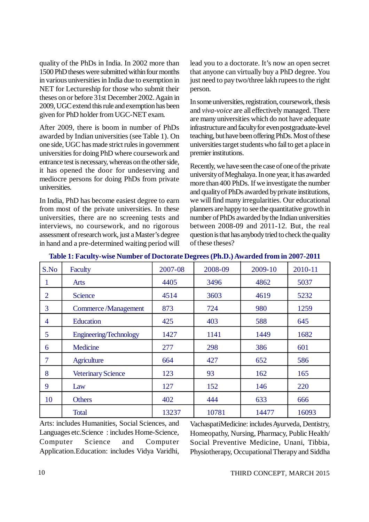quality of the PhDs in India. In 2002 more than 1500 PhD theses were submitted within four months in various universities in India due to exemption in NET for Lectureship for those who submit their theses on or before 31st December 2002. Again in 2009, UGC extend this rule and exemption has been given for PhD holder from UGC-NET exam.

After 2009, there is boom in number of PhDs awarded by Indian universities (see Table 1). On one side, UGC has made strict rules in government universities for doing PhD where coursework and entrance test is necessary, whereas on the other side, it has opened the door for undeserving and mediocre persons for doing PhDs from private universities.

In India, PhD has become easiest degree to earn from most of the private universities. In these universities, there are no screening tests and interviews, no coursework, and no rigorous assessment of research work, just a Master's degree in hand and a pre-determined waiting period will

lead you to a doctorate. It's now an open secret that anyone can virtually buy a PhD degree. You just need to pay two/three lakh rupees to the right person.

In some universities, registration, coursework, thesis and *viva-voice* are all effectively managed. There are many universities which do not have adequate infrastructure and faculty for even postgraduate-level teaching, but have been offering PhDs. Most of these universities target students who fail to get a place in premier institutions.

Recently, we have seen the case of one of the private university of Meghalaya. In one year, it has awarded more than 400 PhDs. If we investigate the number and quality of PhDs awarded by private institutions, we will find many irregularities. Our educational planners are happy to see the quantitative growth in number of PhDs awarded by the Indian universities between 2008-09 and 2011-12. But, the real question is that has anybody tried to check the quality of these theses?

| S.No           | Faculty                    | 2007-08 | 2008-09 | 2009-10 | 2010-11 |
|----------------|----------------------------|---------|---------|---------|---------|
| 1              | <b>Arts</b>                | 4405    | 3496    | 4862    | 5037    |
| $\overline{2}$ | <b>Science</b>             | 4514    | 3603    | 4619    | 5232    |
| 3              | <b>Commerce/Management</b> | 873     | 724     | 980     | 1259    |
| $\overline{4}$ | <b>Education</b>           | 425     | 403     | 588     | 645     |
| 5              | Engineering/Technology     | 1427    | 1141    | 1449    | 1682    |
| 6              | Medicine                   | 277     | 298     | 386     | 601     |
| $\tau$         | Agriculture                | 664     | 427     | 652     | 586     |
| 8              | <b>Veterinary Science</b>  | 123     | 93      | 162     | 165     |
| 9              | Law                        | 127     | 152     | 146     | 220     |
| 10             | <b>Others</b>              | 402     | 444     | 633     | 666     |
|                | Total                      | 13237   | 10781   | 14477   | 16093   |

### **Table 1: Faculty-wise Number of Doctorate Degrees (Ph.D.) Awarded from in 2007-2011**

Arts: includes Humanities, Social Sciences, and Languages etc.Science : includes Home-Science, Computer Science and Computer Application.Education: includes Vidya Varidhi,

VachaspatiMedicine: includes Ayurveda, Dentistry, Homeopathy, Nursing, Pharmacy, Public Health/ Social Preventive Medicine, Unani, Tibbia, Physiotherapy, Occupational Therapy and Siddha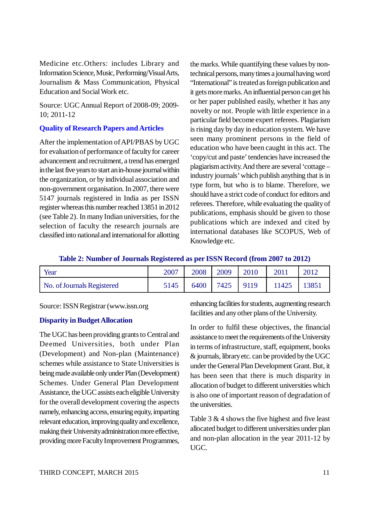Medicine etc.Others: includes Library and Information Science, Music, Performing/Visual Arts, Journalism & Mass Communication, Physical Education and Social Work etc.

Source: UGC Annual Report of 2008-09; 2009- 10; 2011-12

### **Quality of Research Papers and Articles**

After the implementation of API/PBAS by UGC for evaluation of performance of faculty for career advancement and recruitment, a trend has emerged in the last five years to start an in-house journal within the organization, or by individual association and non-government organisation. In 2007, there were 5147 journals registered in India as per ISSN register whereas this number reached 13851 in 2012 (see Table 2). In many Indian universities, for the selection of faculty the research journals are classified into national and international for allotting

the marks. While quantifying these values by nontechnical persons, many times a journal having word "International" is treated as foreign publication and it gets more marks. An influential person can get his or her paper published easily, whether it has any novelty or not. People with little experience in a particular field become expert referees. Plagiarism is rising day by day in education system. We have seen many prominent persons in the field of education who have been caught in this act. The 'copy/cut and paste' tendencies have increased the plagiarism activity. And there are several 'cottage – industry journals' which publish anything that is in type form, but who is to blame. Therefore, we should have a strict code of conduct for editors and referees. Therefore, while evaluating the quality of publications, emphasis should be given to those publications which are indexed and cited by international databases like SCOPUS, Web of Knowledge etc.

**Table 2: Number of Journals Registered as per ISSN Record (from 2007 to 2012)**

| Year                       | 2007 | 2008 | 2009 | 2010 | 2011  | 2012  |
|----------------------------|------|------|------|------|-------|-------|
| No. of Journals Registered | 5145 | 6400 | 7425 | 9119 | 11425 | 13851 |

Source: ISSN Registrar (www.issn.org

### **Disparity in Budget Allocation**

The UGC has been providing grants to Central and Deemed Universities, both under Plan (Development) and Non-plan (Maintenance) schemes while assistance to State Universities is being made available only under Plan (Development) Schemes. Under General Plan Development Assistance, the UGC assists each eligible University for the overall development covering the aspects namely, enhancing access, ensuring equity, imparting relevant education, improving quality and excellence, making their University administration more effective, providing more Faculty Improvement Programmes,

enhancing facilities for students, augmenting research facilities and any other plans of the University.

In order to fulfil these objectives, the financial assistance to meet the requirements of the University in terms of infrastructure, staff, equipment, books & journals, library etc. can be provided by the UGC under the General Plan Development Grant. But, it has been seen that there is much disparity in allocation of budget to different universities which is also one of important reason of degradation of the universities.

Table 3 & 4 shows the five highest and five least allocated budget to different universities under plan and non-plan allocation in the year 2011-12 by UGC.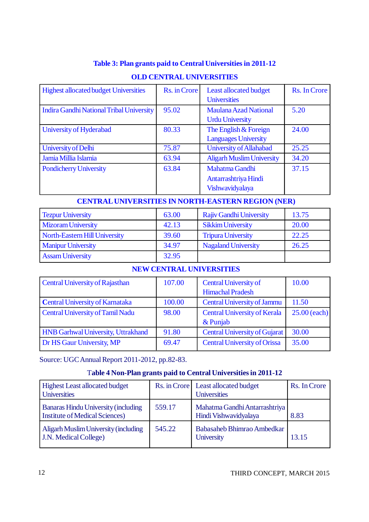| <b>Highest allocated budget Universities</b>    | Rs. in Crore | <b>Least allocated budget</b><br><b>Universities</b>                    | Rs. In Crore |
|-------------------------------------------------|--------------|-------------------------------------------------------------------------|--------------|
| <b>Indira Gandhi National Tribal University</b> | 95.02        | <b>Maulana Azad National</b><br><b>Urdu University</b>                  | 5.20         |
| University of Hyderabad                         | 80.33        | The English & Foreign<br><b>Languages University</b>                    | 24.00        |
| University of Delhi                             | 75.87        | University of Allahabad                                                 | 25.25        |
| Jamia Millia Islamia                            | 63.94        | <b>Aligarh Muslim University</b>                                        | 34.20        |
| <b>Pondicherry University</b>                   | 63.84        | <b>Mahatma Gandhi</b><br>Antarrashtriya Hindi<br><b>Vishwavidyalaya</b> | 37.15        |

## **Table 3: Plan grants paid to Central Universities in 2011-12**

## **OLD CENTRAL UNIVERSITIES**

## **CENTRAL UNIVERSITIES IN NORTH-EASTERN REGION (NER)**

| <b>Tezpur University</b>      | 63.00 | Rajiv Gandhi University    | 13.75 |
|-------------------------------|-------|----------------------------|-------|
| <b>Mizoram University</b>     | 42.13 | <b>Sikkim University</b>   | 20.00 |
| North-Eastern Hill University | 39.60 | <b>Tripura University</b>  | 22.25 |
| <b>Manipur University</b>     | 34.97 | <b>Nagaland University</b> | 26.25 |
| <b>Assam University</b>       | 32.95 |                            |       |

## **NEW CENTRAL UNIVERSITIES**

| 10.00          |
|----------------|
|                |
| 11.50          |
| $25.00$ (each) |
|                |
| 30.00          |
| 35.00          |
|                |

Source: UGC Annual Report 2011-2012, pp.82-83.

## T**able 4 Non-Plan grants paid to Central Universities in 2011-12**

| <b>Highest Least allocated budget</b><br>Universities                                |        | Rs. in Crore   Least allocated budget<br><b>Universities</b> | Rs. In Crore |
|--------------------------------------------------------------------------------------|--------|--------------------------------------------------------------|--------------|
| <b>Banaras Hindu University (including</b><br><b>Institute of Medical Sciences</b> ) | 559.17 | Mahatma Gandhi Antarrashtriya<br>Hindi Vishwavidyalaya       | 8.83         |
| Aligarh Muslim University (including<br>J.N. Medical College)                        | 545.22 | Babasaheb Bhimrao Ambedkar<br>University                     | 13.15        |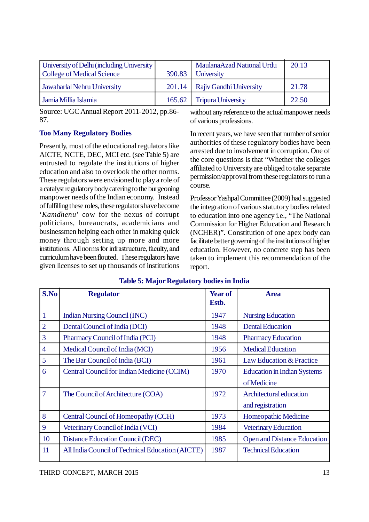| University of Delhi (including University |        | MaulanaAzad National Urdu | 20.13 |
|-------------------------------------------|--------|---------------------------|-------|
| College of Medical Science                | 390.83 | University                |       |
| Jawaharlal Nehru University               | 201.14 | Rajiv Gandhi University   | 21.78 |
| Jamia Millia Islamia                      | 165.62 | <b>Tripura University</b> | 22.50 |

Source: UGC Annual Report 2011-2012, pp.86- 87.

## **Too Many Regulatory Bodies**

Presently, most of the educational regulators like AICTE, NCTE, DEC, MCI etc. (see Table 5) are entrusted to regulate the institutions of higher education and also to overlook the other norms. These regulators were envisioned to play a role of a catalyst regulatory body catering to the burgeoning manpower needs of the Indian economy. Instead of fulfilling these roles, these regulators have become '*Kamdhenu*' cow for the nexus of corrupt politicians, bureaucrats, academicians and businessmen helping each other in making quick money through setting up more and more institutions. All norms for infrastructure, faculty, and curriculum have been flouted. These regulators have given licenses to set up thousands of institutions

without any reference to the actual manpower needs of various professions.

In recent years, we have seen that number of senior authorities of these regulatory bodies have been arrested due to involvement in corruption. One of the core questions is that "Whether the colleges affiliated to University are obliged to take separate permission/approval from these regulators to run a course.

Professor Yashpal Committee (2009) had suggested the integration of various statutory bodies related to education into one agency i.e., "The National Commission for Higher Education and Research (NCHER)". Constitution of one apex body can facilitate better governing of the institutions of higher education. However, no concrete step has been taken to implement this recommendation of the report.

| S.No           | <b>Regulator</b>                                 | <b>Year of</b><br>Estb. | <b>Area</b>                        |
|----------------|--------------------------------------------------|-------------------------|------------------------------------|
| 1              | <b>Indian Nursing Council (INC)</b>              | 1947                    | <b>Nursing Education</b>           |
| $\overline{2}$ | Dental Council of India (DCI)                    | 1948                    | <b>Dental Education</b>            |
| 3              | Pharmacy Council of India (PCI)                  | 1948                    | <b>Pharmacy Education</b>          |
| $\overline{4}$ | Medical Council of India (MCI)                   | 1956                    | <b>Medical Education</b>           |
| 5              | The Bar Council of India (BCI)                   | 1961                    | Law Education & Practice           |
| 6              | Central Council for Indian Medicine (CCIM)       | 1970                    | <b>Education in Indian Systems</b> |
|                |                                                  |                         | of Medicine                        |
| $\overline{7}$ | The Council of Architecture (COA)                | 1972                    | Architectural education            |
|                |                                                  |                         | and registration                   |
| 8              | Central Council of Homeopathy (CCH)              | 1973                    | Homeopathic Medicine               |
| 9              | Veterinary Council of India (VCI)                | 1984                    | <b>Veterinary Education</b>        |
| 10             | Distance Education Council (DEC)                 | 1985                    | <b>Open and Distance Education</b> |
| 11             | All India Council of Technical Education (AICTE) | 1987                    | <b>Technical Education</b>         |

## **Table 5: Major Regulatory bodies in India**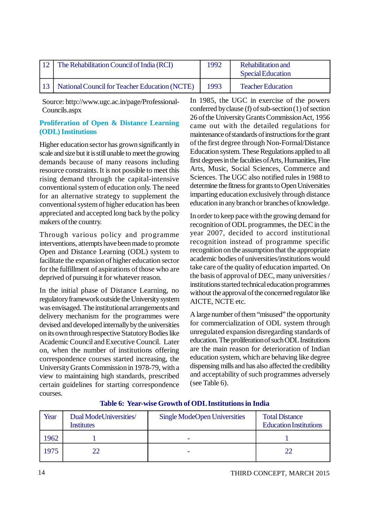| The Rehabilitation Council of India (RCI)     | 1992 | Rehabilitation and<br>Special Education |
|-----------------------------------------------|------|-----------------------------------------|
| National Council for Teacher Education (NCTE) | 1993 | <b>Teacher Education</b>                |

Source: http://www.ugc.ac.in/page/Professional-Councils.aspx

## **Proliferation of Open & Distance Learning (ODL) Institutions**

Higher education sector has grown significantly in scale and size but it is still unable to meet the growing demands because of many reasons including resource constraints. It is not possible to meet this rising demand through the capital-intensive conventional system of education only. The need for an alternative strategy to supplement the conventional system of higher education has been appreciated and accepted long back by the policy makers of the country.

Through various policy and programme interventions, attempts have been made to promote Open and Distance Learning (ODL) system to facilitate the expansion of higher education sector for the fulfillment of aspirations of those who are deprived of pursuing it for whatever reason.

In the initial phase of Distance Learning, no regulatory framework outside the University system was envisaged. The institutional arrangements and delivery mechanism for the programmes were devised and developed internally by the universities on its own through respective Statutory Bodies like Academic Council and Executive Council. Later on, when the number of institutions offering correspondence courses started increasing, the University Grants Commission in 1978-79, with a view to maintaining high standards, prescribed certain guidelines for starting correspondence courses.

In 1985, the UGC in exercise of the powers conferred by clause (f) of sub-section (1) of section 26 of the University Grants Commission Act, 1956 came out with the detailed regulations for maintenance of standards of instructions for the grant of the first degree through Non-Formal/Distance Education system. These Regulations applied to all first degrees in the faculties of Arts, Humanities, Fine Arts, Music, Social Sciences, Commerce and Sciences. The UGC also notified rules in 1988 to determine the fitness for grants to Open Universities imparting education exclusively through distance education in any branch or branches of knowledge.

In order to keep pace with the growing demand for recognition of ODL programmes, the DEC in the year 2007, decided to accord institutional recognition instead of programme specific recognition on the assumption that the appropriate academic bodies of universities/institutions would take care of the quality of education imparted. On the basis of approval of DEC, many universities / institutions started technical education programmes without the approval of the concerned regulator like AICTE, NCTE etc.

A large number of them "misused" the opportunity for commercialization of ODL system through unregulated expansion disregarding standards of education. The proliferation of such ODL Institutions are the main reason for deterioration of Indian education system, which are behaving like degree dispensing mills and has also affected the credibility and acceptability of such programmes adversely (see Table 6).

| Year | Dual ModeUniversities/<br><b>Institutes</b> | <b>Single ModeOpen Universities</b> | <b>Total Distance</b><br><b>Education Institutions</b> |
|------|---------------------------------------------|-------------------------------------|--------------------------------------------------------|
| 962  |                                             | $\overline{\phantom{a}}$            |                                                        |
| 1975 | 22                                          | $\overline{\phantom{a}}$            | 22                                                     |

### **Table 6: Year-wise Growth of ODL Institutions in India**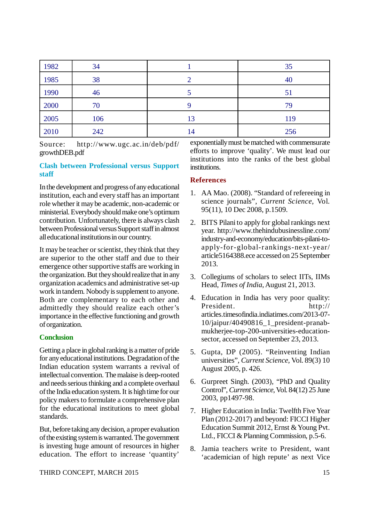| 1982 | 34  |    | 35  |
|------|-----|----|-----|
| 1985 | 38  |    | 40  |
| 1990 | 46  |    | 51  |
| 2000 | 70  |    | 79  |
| 2005 | 106 | 13 | 119 |
| 2010 | 242 | 14 | 256 |

Source: http://www.ugc.ac.in/deb/pdf/ growthDEB.pdf

### **Clash between Professional versus Support staff**

In the development and progress of any educational institution, each and every staff has an important role whether it may be academic, non-academic or ministerial. Everybody should make one's optimum contribution. Unfortunately, there is always clash between Professional versus Support staff in almost all educational institutions in our country.

It may be teacher or scientist, they think that they are superior to the other staff and due to their emergence other supportive staffs are working in the organization. But they should realize that in any organization academics and administrative set-up work in tandem. Nobody is supplement to anyone. Both are complementary to each other and admittedly they should realize each other's importance in the effective functioning and growth of organization.

### **Conclusion**

Getting a place in global ranking is a matter of pride for any educational institutions. Degradation of the Indian education system warrants a revival of intellectual convention. The malaise is deep-rooted and needs serious thinking and a complete overhaul of the India education system. It is high time for our policy makers to formulate a comprehensive plan for the educational institutions to meet global standards.

But, before taking any decision, a proper evaluation of the existing system is warranted. The government is investing huge amount of resources in higher education. The effort to increase 'quantity'

THIRD CONCEPT, MARCH 2015 15

exponentially must be matched with commensurate efforts to improve 'quality'. We must lead our institutions into the ranks of the best global institutions.

### **References**

- 1. AA Mao. (2008). "Standard of refereeing in science journals", *Current Science*, Vol. 95(11), 10 Dec 2008, p.1509.
- 2. BITS Pilani to apply for global rankings next year. http://www.thehindubusinessline.com/ industry-and-economy/education/bits-pilani-toapply-for-global-rankings-next-year/ article5164388.ece accessed on 25 September 2013.
- 3. Collegiums of scholars to select IITs, IIMs Head, *Times of India*, August 21, 2013.
- 4. Education in India has very poor quality: President. http:// articles.timesofindia.indiatimes.com/2013-07- 10/jaipur/40490816\_1\_president-pranabmukherjee-top-200-universities-educationsector, accessed on September 23, 2013.
- 5. Gupta, DP (2005). "Reinventing Indian universities", *Current Science*, Vol. 89(3) 10 August 2005, p. 426.
- 6. Gurpreet Singh. (2003), "PhD and Quality Control", *Current Science*, Vol. 84(12) 25 June 2003, pp1497-98.
- 7. Higher Education in India: Twelfth Five Year Plan (2012-2017) and beyond: FICCI Higher Education Summit 2012, Ernst & Young Pvt. Ltd., FICCI & Planning Commission, p.5-6.
- 8. Jamia teachers write to President, want 'academician of high repute' as next Vice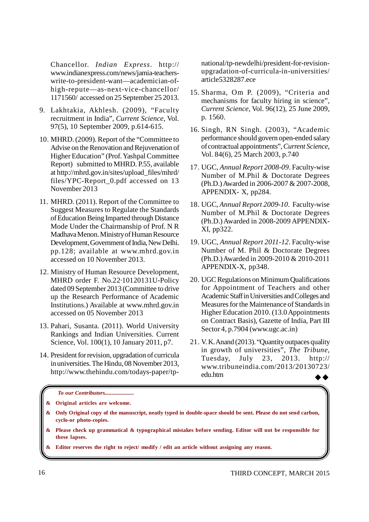Chancellor. *Indian Express*. http:// www.indianexpress.com/news/jamia-teacherswrite-to-president-want—academician-ofhigh-repute—as-next-vice-chancellor/ 1171560/ accessed on 25 September 25 2013.

- 9. Lakhtakia, Akhlesh. (2009), "Faculty recruitment in India", *Current Science*, Vol. 97(5), 10 September 2009, p.614-615.
- 10. MHRD. (2009). Report of the "Committee to Advise on the Renovation and Rejuvenation of Higher Education" (Prof. Yashpal Committee Report) submitted to MHRD. P.55, available at http://mhrd.gov.in/sites/upload\_files/mhrd/ files/YPC-Report\_0.pdf accessed on 13 November 2013
- 11. MHRD. (2011). Report of the Committee to Suggest Measures to Regulate the Standards of Education Being Imparted through Distance Mode Under the Chairmanship of Prof. N R Madhava Menon. Ministry of Human Resource Development, Government of India, New Delhi. pp.128; available at www.mhrd.gov.in accessed on 10 November 2013.
- 12. Ministry of Human Resource Development, MHRD order F. No.22·10120131U-Policy dated 09 September 2013 (Committee to drive up the Research Performance of Academic Institutions.) Available at www.mhrd.gov.in accessed on 05 November 2013
- 13. Pahari, Susanta. (2011). World University Rankings and Indian Universities. Current Science, Vol. 100(1), 10 January 2011, p7.
- 14. President for revision, upgradation of curricula in universities. The Hindu, 08 November 2013, http://www.thehindu.com/todays-paper/tp-

national/tp-newdelhi/president-for-revisionupgradation-of-curricula-in-universities/ article5328287.ece

- 15. Sharma, Om P. (2009), "Criteria and mechanisms for faculty hiring in science", *Current Science*, Vol. 96(12), 25 June 2009, p. 1560.
- 16. Singh, RN Singh. (2003), "Academic performance should govern open-ended salary of contractual appointments", *Current Science*, Vol. 84(6), 25 March 2003, p.740
- 17. UGC, *Annual Report 2008-09*. Faculty-wise Number of M.Phil & Doctorate Degrees (Ph.D.) Awarded in 2006-2007 & 2007-2008, APPENDIX- X, pp284.
- 18. UGC, *Annual Report 2009-10*. Faculty-wise Number of M.Phil & Doctorate Degrees (Ph.D.) Awarded in 2008-2009 APPENDIX-XI, pp322.
- 19. UGC, *Annual Report 2011-12*. Faculty-wise Number of M. Phil & Doctorate Degrees (Ph.D.) Awarded in 2009-2010 & 2010-2011 APPENDIX-X, pp348.
- 20. UGC Regulations on Minimum Qualifications for Appointment of Teachers and other Academic Staff in Universities and Colleges and Measures for the Maintenance of Standards in Higher Education 2010. (13.0 Appointments on Contract Basis), Gazette of India, Part III Sector 4, p.7904 (www.ugc.ac.in)
- 21. V. K. Anand (2013). "Quantity outpaces quality in growth of universities", *The Tribune*, Tuesday, July 23, 2013. http:// www.tribuneindia.com/2013/20130723/ edu.htm  $\rightarrow \rightarrow$

 *To our Contributors.....................*

- **& Please check up grammatical & typographical mistakes before sending. Editor will not be responsible for these lapses.**
- **& Editor reserves the right to reject/ modify / edit an article without assigning any reason.**

**<sup>&</sup>amp; Original articles are welcome.**

**<sup>&</sup>amp; Only Original copy of the manuscript, neatly typed in double-space should be sent. Please do not send carbon, cyclo-or photo-copies.**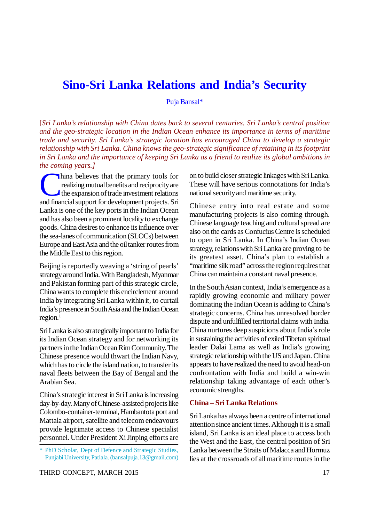## **Sino-Sri Lanka Relations and India's Security**

Puja Bansal\*

[*Sri Lanka's relationship with China dates back to several centuries. Sri Lanka's central position and the geo-strategic location in the Indian Ocean enhance its importance in terms of maritime trade and security. Sri Lanka's strategic location has encouraged China to develop a strategic relationship with Sri Lanka. China knows the geo-strategic significance of retaining in its footprint in Sri Lanka and the importance of keeping Sri Lanka as a friend to realize its global ambitions in the coming years.]*

hina believes that the primary tools for realizing mutual benefits and reciprocity are the expansion of trade investment relations and financial support for development projects. Sri hina believes that the primary tools for realizing mutual benefits and reciprocity are the expansion of trade investment relations Lanka is one of the key ports in the Indian Ocean and has also been a prominent locality to exchange goods. China desires to enhance its influence over the sea-lanes of communication (SLOCs) between Europe and East Asia and the oil tanker routes from the Middle East to this region.

Beijing is reportedly weaving a 'string of pearls' strategy around India. With Bangladesh, Myanmar and Pakistan forming part of this strategic circle, China wants to complete this encirclement around India by integrating Sri Lanka within it, to curtail India's presence in South Asia and the Indian Ocean  $region.<sup>1</sup>$ 

Sri Lanka is also strategically important to India for its Indian Ocean strategy and for networking its partners in the Indian Ocean Rim Community. The Chinese presence would thwart the Indian Navy, which has to circle the island nation, to transfer its naval fleets between the Bay of Bengal and the Arabian Sea.

China's strategic interest in Sri Lanka is increasing day-by-day. Many of Chinese-assisted projects like Colombo-container-terminal, Hambantota port and Mattala airport, satellite and telecom endeavours provide legitimate access to Chinese specialist personnel. Under President Xi Jinping efforts are

on to build closer strategic linkages with Sri Lanka. These will have serious connotations for India's national security and maritime security.

Chinese entry into real estate and some manufacturing projects is also coming through. Chinese language teaching and cultural spread are also on the cards as Confucius Centre is scheduled to open in Sri Lanka. In China's Indian Ocean strategy, relations with Sri Lanka are proving to be its greatest asset. China's plan to establish a "maritime silk road" across the region requires that China can maintain a constant naval presence.

In the South Asian context, India's emergence as a rapidly growing economic and military power dominating the Indian Ocean is adding to China's strategic concerns. China has unresolved border dispute and unfulfilled territorial claims with India. China nurtures deep suspicions about India's role in sustaining the activities of exiled Tibetan spiritual leader Dalai Lama as well as India's growing strategic relationship with the US and Japan. China appears to have realized the need to avoid head-on confrontation with India and build a win-win relationship taking advantage of each other's economic strengths.

### **China – Sri Lanka Relations**

Sri Lanka has always been a centre of international attention since ancient times. Although it is a small island, Sri Lanka is an ideal place to access both the West and the East, the central position of Sri Lanka between the Straits of Malacca and Hormuz lies at the crossroads of all maritime routes in the

PhD Scholar, Dept of Defence and Strategic Studies, Punjabi University, Patiala. (bansalpuja.13@gmail.com)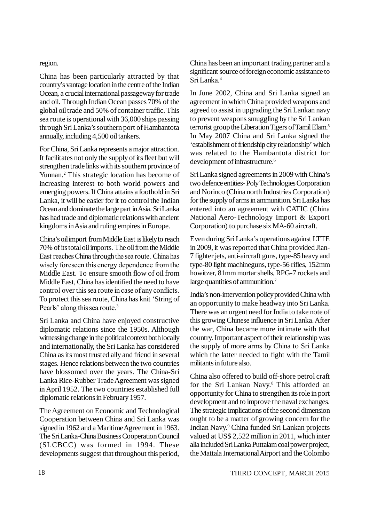### region.

China has been particularly attracted by that country's vantage location in the centre of the Indian Ocean, a crucial international passageway for trade and oil. Through Indian Ocean passes 70% of the global oil trade and 50% of container traffic. This sea route is operational with 36,000 ships passing through Sri Lanka's southern port of Hambantota annually, including 4,500 oil tankers.

For China, Sri Lanka represents a major attraction. It facilitates not only the supply of its fleet but will strengthen trade links with its southern province of Yunnan.<sup>2</sup> This strategic location has become of increasing interest to both world powers and emerging powers. If China attains a foothold in Sri Lanka, it will be easier for it to control the Indian Ocean and dominate the large part in Asia. Sri Lanka has had trade and diplomatic relations with ancient kingdoms in Asia and ruling empires in Europe.

China's oil import from Middle East is likely to reach 70% of its total oil imports. The oil from the Middle East reaches China through the sea route. China has wisely foreseen this energy dependence from the Middle East. To ensure smooth flow of oil from Middle East, China has identified the need to have control over this sea route in case of any conflicts. To protect this sea route, China has knit 'String of Pearls' along this sea route.<sup>3</sup>

Sri Lanka and China have enjoyed constructive diplomatic relations since the 1950s. Although witnessing change in the political context both locally and internationally, the Sri Lanka has considered China as its most trusted ally and friend in several stages. Hence relations between the two countries have blossomed over the years. The China-Sri Lanka Rice-Rubber Trade Agreement was signed in April 1952. The two countries established full diplomatic relations in February 1957.

The Agreement on Economic and Technological Cooperation between China and Sri Lanka was signed in 1962 and a Maritime Agreement in 1963. The Sri Lanka-China Business Cooperation Council (SLCBCC) was formed in 1994. These developments suggest that throughout this period, China has been an important trading partner and a significant source of foreign economic assistance to Sri Lanka.<sup>4</sup>

In June 2002, China and Sri Lanka signed an agreement in which China provided weapons and agreed to assist in upgrading the Sri Lankan navy to prevent weapons smuggling by the Sri Lankan terrorist group the Liberation Tigers of Tamil Elam.<sup>5</sup> In May 2007 China and Sri Lanka signed the 'establishment of friendship city relationship' which was related to the Hambantota district for development of infrastructure.<sup>6</sup>

Sri Lanka signed agreements in 2009 with China's two defence entities- Poly Technologies Corporation and Norinco (China north Industries Corporation) for the supply of arms in ammunition. Sri Lanka has entered into an agreement with CATIC (China National Aero-Technology Import & Export Corporation) to purchase six MA-60 aircraft.

Even during Sri Lanka's operations against LTTE in 2009, it was reported that China provided Jian-7 fighter jets, anti-aircraft guns, type-85 heavy and type-80 light machineguns, type-56 rifles, 152mm howitzer, 81mm mortar shells, RPG-7 rockets and large quantities of ammunition.<sup>7</sup>

India's non-intervention policy provided China with an opportunity to make headway into Sri Lanka. There was an urgent need for India to take note of this growing Chinese influence in Sri Lanka. After the war, China became more intimate with that country. Important aspect of their relationship was the supply of more arms by China to Sri Lanka which the latter needed to fight with the Tamil militants in future also.

China also offered to build off-shore petrol craft for the Sri Lankan Navy.<sup>8</sup> This afforded an opportunity for China to strengthen its role in port development and to improve the naval exchanges. The strategic implications of the second dimension ought to be a matter of growing concern for the Indian Navy.<sup>9</sup> China funded Sri Lankan projects valued at US\$ 2,522 million in 2011, which inter alia included Sri Lanka Puttalam coal power project, the Mattala International Airport and the Colombo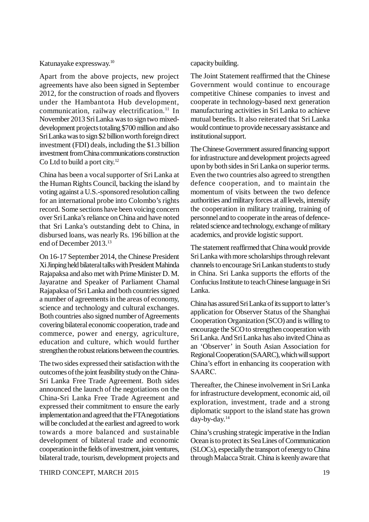### Katunayake expressway.<sup>10</sup>

Apart from the above projects, new project agreements have also been signed in September 2012, for the construction of roads and flyovers under the Hambantota Hub development, communication, railway electrification.<sup>11</sup> In November 2013 Sri Lanka was to sign two mixeddevelopment projects totaling \$700 million and also Sri Lanka was to sign \$2 billion worth foreign direct investment (FDI) deals, including the \$1.3 billion investment from China communications construction Co Ltd to build a port city.<sup>12</sup>

China has been a vocal supporter of Sri Lanka at the Human Rights Council, backing the island by voting against a U.S.-sponsored resolution calling for an international probe into Colombo's rights record. Some sections have been voicing concern over Sri Lanka's reliance on China and have noted that Sri Lanka's outstanding debt to China, in disbursed loans, was nearly Rs. 196 billion at the end of December 2013.<sup>13</sup>

On 16-17 September 2014, the Chinese President Xi Jinping held bilateral talks with President Mahinda Rajapaksa and also met with Prime Minister D. M. Jayaratne and Speaker of Parliament Chamal Rajapaksa of Sri Lanka and both countries signed a number of agreements in the areas of economy, science and technology and cultural exchanges. Both countries also signed number of Agreements covering bilateral economic cooperation, trade and commerce, power and energy, agriculture, education and culture, which would further strengthen the robust relations between the countries.

The two sides expressed their satisfaction with the outcomes of the joint feasibility study on the China-Sri Lanka Free Trade Agreement. Both sides announced the launch of the negotiations on the China-Sri Lanka Free Trade Agreement and expressed their commitment to ensure the early implementation and agreed that the FTA negotiations will be concluded at the earliest and agreed to work towards a more balanced and sustainable development of bilateral trade and economic cooperation in the fields of investment, joint ventures, bilateral trade, tourism, development projects and

#### capacity building.

The Joint Statement reaffirmed that the Chinese Government would continue to encourage competitive Chinese companies to invest and cooperate in technology-based next generation manufacturing activities in Sri Lanka to achieve mutual benefits. It also reiterated that Sri Lanka would continue to provide necessary assistance and institutional support.

The Chinese Government assured financing support for infrastructure and development projects agreed upon by both sides in Sri Lanka on superior terms. Even the two countries also agreed to strengthen defence cooperation, and to maintain the momentum of visits between the two defence authorities and military forces at all levels, intensify the cooperation in military training, training of personnel and to cooperate in the areas of defencerelated science and technology, exchange of military academics, and provide logistic support.

The statement reaffirmed that China would provide Sri Lanka with more scholarships through relevant channels to encourage Sri Lankan students to study in China. Sri Lanka supports the efforts of the Confucius Institute to teach Chinese language in Sri Lanka.

China has assured Sri Lanka of its support to latter's application for Observer Status of the Shanghai Cooperation Organization (SCO) and is willing to encourage the SCO to strengthen cooperation with Sri Lanka. And Sri Lanka has also invited China as an 'Observer' in South Asian Association for Regional Cooperation (SAARC), which will support China's effort in enhancing its cooperation with SAARC.

Thereafter, the Chinese involvement in Sri Lanka for infrastructure development, economic aid, oil exploration, investment, trade and a strong diplomatic support to the island state has grown day-by-day.<sup>14</sup>

China's crushing strategic imperative in the Indian Ocean is to protect its Sea Lines of Communication (SLOCs), especially the transport of energy to China through Malacca Strait. China is keenly aware that

THIRD CONCEPT, MARCH 2015 19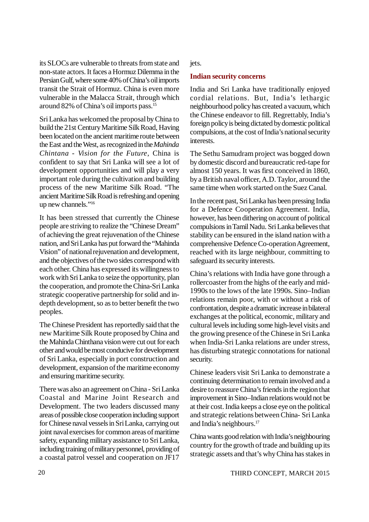its SLOCs are vulnerable to threats from state and non-state actors. It faces a Hormuz Dilemma in the Persian Gulf, where some 40% of China's oil imports transit the Strait of Hormuz. China is even more vulnerable in the Malacca Strait, through which around 82% of China's oil imports pass.<sup>15</sup>

Sri Lanka has welcomed the proposal by China to build the 21st Century Maritime Silk Road, Having been located on the ancient maritime route between the East and the West, as recognized in the *Mahinda Chintana - Vision for the Future*, China is confident to say that Sri Lanka will see a lot of development opportunities and will play a very important role during the cultivation and building process of the new Maritime Silk Road. "The ancient Maritime Silk Road is refreshing and opening up new channels."<sup>16</sup>

It has been stressed that currently the Chinese people are striving to realize the "Chinese Dream" of achieving the great rejuvenation of the Chinese nation, and Sri Lanka has put forward the "Mahinda Vision" of national rejuvenation and development, and the objectives of the two sides correspond with each other. China has expressed its willingness to work with Sri Lanka to seize the opportunity, plan the cooperation, and promote the China-Sri Lanka strategic cooperative partnership for solid and indepth development, so as to better benefit the two peoples.

The Chinese President has reportedly said that the new Maritime Silk Route proposed by China and the Mahinda Chinthana vision were cut out for each other and would be most conducive for development of Sri Lanka, especially in port construction and development, expansion of the maritime economy and ensuring maritime security.

There was also an agreement on China - Sri Lanka Coastal and Marine Joint Research and Development. The two leaders discussed many areas of possible close cooperation including support for Chinese naval vessels in Sri Lanka, carrying out joint naval exercises for common areas of maritime safety, expanding military assistance to Sri Lanka, including training of military personnel, providing of a coastal patrol vessel and cooperation on JF17

jets.

### **Indian security concerns**

India and Sri Lanka have traditionally enjoyed cordial relations. But, India's lethargic neighbourhood policy has created a vacuum, which the Chinese endeavor to fill. Regrettably, India's foreign policy is being dictated by domestic political compulsions, at the cost of India's national security interests.

The Sethu Samudram project was bogged down by domestic discord and bureaucratic red-tape for almost 150 years. It was first conceived in 1860, by a British naval officer, A.D. Taylor, around the same time when work started on the Suez Canal.

In the recent past, Sri Lanka has been pressing India for a Defence Cooperation Agreement. India, however, has been dithering on account of political compulsions in Tamil Nadu. Sri Lanka believes that stability can be ensured in the island nation with a comprehensive Defence Co-operation Agreement, reached with its large neighbour, committing to safeguard its security interests.

China's relations with India have gone through a rollercoaster from the highs of the early and mid-1990s to the lows of the late 1990s. Sino–Indian relations remain poor, with or without a risk of confrontation, despite a dramatic increase in bilateral exchanges at the political, economic, military and cultural levels including some high-level visits and the growing presence of the Chinese in Sri Lanka when India-Sri Lanka relations are under stress, has disturbing strategic connotations for national security.

Chinese leaders visit Sri Lanka to demonstrate a continuing determination to remain involved and a desire to reassure China's friends in the region that improvement in Sino–Indian relations would not be at their cost. India keeps a close eye on the political and strategic relations between China- Sri Lanka and India's neighbours.<sup>17</sup>

China wants good relation with India's neighbouring country for the growth of trade and building up its strategic assets and that's why China has stakes in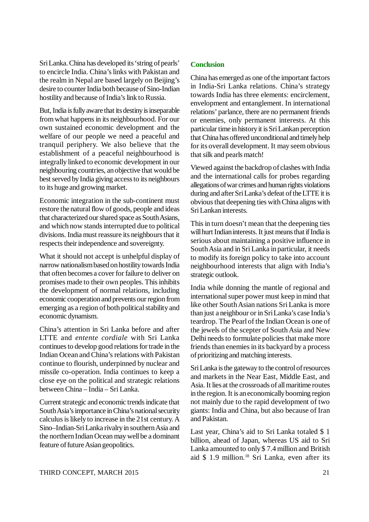Sri Lanka. China has developed its 'string of pearls' to encircle India. China's links with Pakistan and the realm in Nepal are based largely on Beijing's desire to counter India both because of Sino-Indian hostility and because of India's link to Russia.

But, India is fully aware that its destiny is inseparable from what happens in its neighbourhood. For our own sustained economic development and the welfare of our people we need a peaceful and tranquil periphery. We also believe that the establishment of a peaceful neighbourhood is integrally linked to economic development in our neighbouring countries, an objective that would be best served by India giving access to its neighbours to its huge and growing market.

Economic integration in the sub-continent must restore the natural flow of goods, people and ideas that characterized our shared space as South Asians, and which now stands interrupted due to political divisions. India must reassure its neighbours that it respects their independence and sovereignty.

What it should not accept is unhelpful display of narrow nationalism based on hostility towards India that often becomes a cover for failure to deliver on promises made to their own peoples. This inhibits the development of normal relations, including economic cooperation and prevents our region from emerging as a region of both political stability and economic dynamism.

China's attention in Sri Lanka before and after LTTE and *entente cordiale* with Sri Lanka continues to develop good relations for trade in the Indian Ocean and China's relations with Pakistan continue to flourish, underpinned by nuclear and missile co-operation. India continues to keep a close eye on the political and strategic relations between China – India – Sri Lanka.

Current strategic and economic trends indicate that South Asia's importance in China's national security calculus is likely to increase in the 21st century. A Sino–Indian-Sri Lanka rivalry in southern Asia and the northern Indian Ocean may well be a dominant feature of future Asian geopolitics.

### **Conclusion**

China has emerged as one of the important factors in India-Sri Lanka relations. China's strategy towards India has three elements: encirclement, envelopment and entanglement. In international relations' parlance, there are no permanent friends or enemies, only permanent interests. At this particular time in history it is Sri Lankan perception that China has offered unconditional and timely help for its overall development. It may seem obvious that silk and pearls match!

Viewed against the backdrop of clashes with India and the international calls for probes regarding allegations of war crimes and human rights violations during and after Sri Lanka's defeat of the LTTE it is obvious that deepening ties with China aligns with Sri Lankan interests.

This in turn doesn't mean that the deepening ties will hurt Indian interests. It just means that if India is serious about maintaining a positive influence in South Asia and in Sri Lanka in particular, it needs to modify its foreign policy to take into account neighbourhood interests that align with India's strategic outlook.

India while donning the mantle of regional and international super power must keep in mind that like other South Asian nations Sri Lanka is more than just a neighbour or in Sri Lanka's case India's teardrop. The Pearl of the Indian Ocean is one of the jewels of the scepter of South Asia and New Delhi needs to formulate policies that make more friends than enemies in its backyard by a process of prioritizing and matching interests.

Sri Lanka is the gateway to the control of resources and markets in the Near East, Middle East, and Asia. It lies at the crossroads of all maritime routes in the region. It is an economically booming region not mainly due to the rapid development of two giants: India and China, but also because of Iran and Pakistan.

Last year, China's aid to Sri Lanka totaled \$1 billion, ahead of Japan, whereas US aid to Sri Lanka amounted to only \$ 7.4 million and British aid \$ 1.9 million.18 Sri Lanka, even after its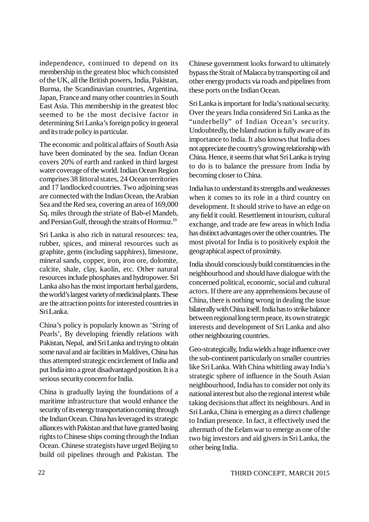independence, continued to depend on its membership in the greatest bloc which consisted of the UK, all the British powers, India, Pakistan, Burma, the Scandinavian countries, Argentina, Japan, France and many other countries in South East Asia. This membership in the greatest bloc seemed to be the most decisive factor in determining Sri Lanka's foreign policy in general and its trade policy in particular.

The economic and political affairs of South Asia have been dominated by the sea. Indian Ocean covers 20% of earth and ranked in third largest water coverage of the world. Indian Ocean Region comprises 38 littoral states, 24 Ocean territories and 17 landlocked countries. Two adjoining seas are connected with the Indian Ocean, the Arabian Sea and the Red sea, covering an area of 169,000 Sq. miles through the striate of Bab-el Mandeb, and Persian Gulf, through the straits of Hormuz.<sup>19</sup>

Sri Lanka is also rich in natural resources: tea, rubber, spices, and mineral resources such as graphite, gems (including sapphires), limestone, mineral sands, copper, iron, iron ore, dolomite, calcite, shale, clay, kaolin, etc. Other natural resources include phosphates and hydropower. Sri Lanka also has the most important herbal gardens, the world's largest variety of medicinal plants. These are the attraction points for interested countries in Sri Lanka.

China's policy is popularly known as 'String of Pearls', By developing friendly relations with Pakistan, Nepal, and Sri Lanka and trying to obtain some naval and air facilities in Maldives, China has thus attempted strategic encirclement of India and put India into a great disadvantaged position. It is a serious security concern for India.

China is gradually laying the foundations of a maritime infrastructure that would enhance the security of its energy transportation coming through the Indian Ocean. China has leveraged its strategic alliances with Pakistan and that have granted basing rights to Chinese ships coming through the Indian Ocean. Chinese strategists have urged Beijing to build oil pipelines through and Pakistan. The

Chinese government looks forward to ultimately bypass the Strait of Malacca by transporting oil and other energy products via roads and pipelines from these ports on the Indian Ocean.

Sri Lanka is important for India's national security. Over the years India considered Sri Lanka as the "underbelly" of Indian Ocean's security. Undoubtedly, the Island nation is fully aware of its importance to India. It also knows that India does not appreciate the country's growing relationship with China. Hence, it seems that what Sri Lanka is trying to do is to balance the pressure from India by becoming closer to China.

India has to understand its strengths and weaknesses when it comes to its role in a third country on development. It should strive to have an edge on any field it could. Resettlement in tourism, cultural exchange, and trade are few areas in which India has distinct advantages over the other countries. The most pivotal for India is to positively exploit the geographical aspect of proximity.

India should consciously build constituencies in the neighbourhood and should have dialogue with the concerned political, economic, social and cultural actors. If there are any apprehensions because of China, there is nothing wrong in dealing the issue bilaterally with China itself. India has to strike balance between regional long term peace, its own strategic interests and development of Sri Lanka and also other neighbouring countries.

Geo-strategically, India wields a huge influence over the sub-continent particularly on smaller countries like Sri Lanka. With China whittling away India's strategic sphere of influence in the South Asian neighbourhood, India has to consider not only its national interest but also the regional interest while taking decisions that affect its neighbours. And in Sri Lanka, China is emerging as a direct challenge to Indian presence. In fact, it effectively used the aftermath of the Eelam war to emerge as one of the two big investors and aid givers in Sri Lanka, the other being India.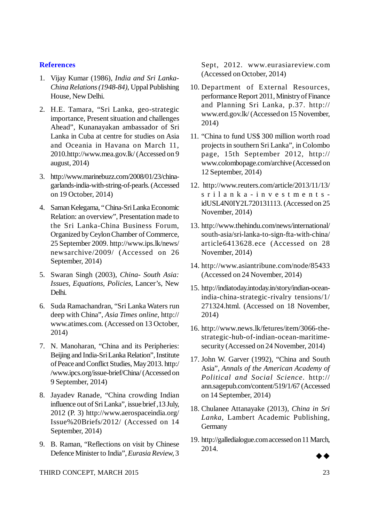### **References**

- 1. Vijay Kumar (1986), *India and Sri Lanka-China Relations (1948-84)*, Uppal Publishing House, New Delhi.
- 2. H.E. Tamara, "Sri Lanka, geo-strategic importance, Present situation and challenges Ahead", Kunanayakan ambassador of Sri Lanka in Cuba at centre for studies on Asia and Oceania in Havana on March 11, 2010.http://www.mea.gov.lk/ (Accessed on 9 august, 2014)
- 3. http://www.marinebuzz.com/2008/01/23/chinagarlands-india-with-string-of-pearls. (Accessed on 19 October, 2014)
- 4. Saman Kelegama, " China-Sri Lanka Economic Relation: an overview", Presentation made to the Sri Lanka-China Business Forum, Organized by Ceylon Chamber of Commerce, 25 September 2009. http://www.ips.lk/news/ newsarchive/2009/ (Accessed on 26 September, 2014)
- 5. Swaran Singh (2003), *China- South Asia: Issues, Equations, Policies*, Lancer's, New Delhi.
- 6. Suda Ramachandran, "Sri Lanka Waters run deep with China", *Asia Times online*, http:// www.atimes.com. (Accessed on 13 October, 2014)
- 7. N. Manoharan, "China and its Peripheries: Beijing and India-Sri Lanka Relation", Institute of Peace and Conflict Studies, May 2013. http:/ /www.ipcs.org/issue-brief/China/ (Accessed on 9 September, 2014)
- 8. Jayadev Ranade, "China crowding Indian influence out of Sri Lanka", issue brief ,13 July, 2012 (P. 3) http://www.aerospaceindia.org/ Issue%20Briefs/2012/ (Accessed on 14 September, 2014)
- 9. B. Raman, "Reflections on visit by Chinese Defence Minister to India", *Eurasia Review*, 3

Sept, 2012. www.eurasiareview.com (Accessed on October, 2014)

- 10. Department of External Resources, performance Report 2011, Ministry of Finance and Planning Sri Lanka, p.37. http:// www.erd.gov.lk/ (Accessed on 15 November, 2014)
- 11. "China to fund US\$ 300 million worth road projects in southern Sri Lanka", in Colombo page, 15th September 2012, http:// www.colombopage.com/archive (Accessed on 12 September, 2014)
- 12. http://www.reuters.com/article/2013/11/13/ s r i l a n k a - i n v e s t m e n t s idUSL4N0IY2L720131113. (Accessed on 25 November, 2014)
- 13. http://www.thehindu.com/news/international/ south-asia/sri-lanka-to-sign-fta-with-china/ article6413628.ece (Accessed on 28 November, 2014)
- 14. http://www.asiantribune.com/node/85433 (Accessed on 24 November, 2014)
- 15. http://indiatoday.intoday.in/story/indian-oceanindia-china-strategic-rivalry tensions/1/ 271324.html. (Accessed on 18 November, 2014)
- 16. http://www.news.lk/fetures/item/3066-thestrategic-hub-of-indian-ocean-maritimesecurity (Accessed on 24 November, 2014)
- 17. John W. Garver (1992), "China and South Asia", *Annals of the American Academy of Political and Social Science*. http:// ann.sagepub.com/content/519/1/67 (Accessed on 14 September, 2014)
- 18. Chulanee Attanayake (2013), *China in Sri Lanka*, Lambert Academic Publishing, **Germany**
- 19. http://galledialogue.com accessed on 11 March, 2014.  $\rightarrow \rightarrow$

THIRD CONCEPT, MARCH 2015 23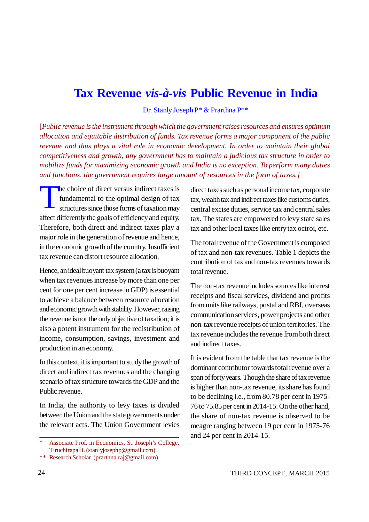# **Tax Revenue** *vis-à-vis* **Public Revenue in India**

Dr. Stanly Joseph P\* & Prarthna P\*\*

[*Public revenue is the instrument through which the government raises resources and ensures optimum allocation and equitable distribution of funds. Tax revenue forms a major component of the public revenue and thus plays a vital role in economic development. In order to maintain their global competitiveness and growth, any government has to maintain a judicious tax structure in order to mobilize funds for maximizing economic growth and India is no exception. To perform many duties and functions, the government requires large amount of resources in the form of taxes.]*

T he choice of direct versus indirect taxes is fundamental to the optimal design of tax structures since those forms of taxation may affect differently the goals of efficiency and equity. Therefore, both direct and indirect taxes play a major role in the generation of revenue and hence, in the economic growth of the country. Insufficient tax revenue can distort resource allocation.

Hence, an ideal buoyant tax system (a tax is buoyant when tax revenues increase by more than one per cent for one per cent increase in GDP) is essential to achieve a balance between resource allocation and economic growth with stability. However, raising the revenue is not the only objective of taxation; it is also a potent instrument for the redistribution of income, consumption, savings, investment and production in an economy.

In this context, it is important to study the growth of direct and indirect tax revenues and the changing scenario of tax structure towards the GDP and the Public revenue.

In India, the authority to levy taxes is divided between the Union and the state governments under the relevant acts. The Union Government levies

direct taxes such as personal income tax, corporate tax, wealth tax and indirect taxes like customs duties, central excise duties, service tax and central sales tax. The states are empowered to levy state sales tax and other local taxes like entry tax octroi, etc.

The total revenue of the Government is composed of tax and non-tax revenues. Table 1 depicts the contribution of tax and non-tax revenues towards total revenue.

The non-tax revenue includes sources like interest receipts and fiscal services, dividend and profits from units like railways, postal and RBI, overseas communication services, power projects and other non-tax revenue receipts of union territories. The tax revenue includes the revenue from both direct and indirect taxes.

It is evident from the table that tax revenue is the dominant contributor towards total revenue over a span of forty years. Though the share of tax revenue is higher than non-tax revenue, its share has found to be declining i.e., from 80.78 per cent in 1975- 76 to 75.85 per cent in 2014-15. On the other hand, the share of non-tax revenue is observed to be meagre ranging between 19 per cent in 1975-76 and 24 per cent in 2014-15.

Associate Prof. in Economics, St. Joseph's College, Tiruchirapalli. (stanlyjosephp@gmail.com)

<sup>\*\*</sup> Research Scholar. (prarthna.raj@gmail.com)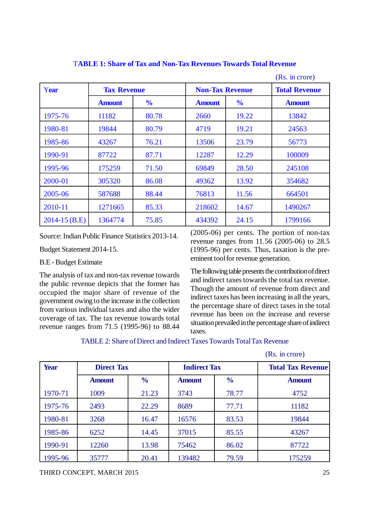|                   |                    |                        |               |               | (Rs. in crore)       |
|-------------------|--------------------|------------------------|---------------|---------------|----------------------|
| Year              | <b>Tax Revenue</b> | <b>Non-Tax Revenue</b> |               |               | <b>Total Revenue</b> |
|                   | <b>Amount</b>      | $\frac{6}{6}$          | <b>Amount</b> | $\frac{6}{6}$ | <b>Amount</b>        |
| 1975-76           | 11182              | 80.78                  | 2660          | 19.22         | 13842                |
| 1980-81           | 19844              | 80.79                  | 4719          | 19.21         | 24563                |
| 1985-86           | 43267              | 76.21                  | 13506         | 23.79         | 56773                |
| 1990-91           | 87722              | 87.71                  | 12287         | 12.29         | 100009               |
| 1995-96           | 175259             | 71.50                  | 69849         | 28.50         | 245108               |
| 2000-01           | 305320             | 86.08                  | 49362         | 13.92         | 354682               |
| 2005-06           | 587688             | 88.44                  | 76813         | 11.56         | 664501               |
| 2010-11           | 1271665            | 85.33                  | 218602        | 14.67         | 1490267              |
| $2014 - 15$ (B.E) | 1364774            | 75.85                  | 434392        | 24.15         | 1799166              |

T**ABLE 1: Share of Tax and Non-Tax Revenues Towards Total Revenue**

Source: Indian Public Finance Statistics 2013-14.

Budget Statement 2014-15.

B.E - Budget Estimate

The analysis of tax and non-tax revenue towards the public revenue depicts that the former has occupied the major share of revenue of the government owing to the increase in the collection from various individual taxes and also the wider coverage of tax. The tax revenue towards total revenue ranges from 71.5 (1995-96) to 88.44

(2005-06) per cents. The portion of non-tax revenue ranges from 11.56 (2005-06) to 28.5 (1995-96) per cents. Thus, taxation is the preeminent tool for revenue generation.

The following table presents the contribution of direct and indirect taxes towards the total tax revenue. Though the amount of revenue from direct and indirect taxes has been increasing in all the years, the percentage share of direct taxes in the total revenue has been on the increase and reverse situation prevailed in the percentage share of indirect taxes.

## TABLE 2: Share of Direct and Indirect Taxes Towards Total Tax Revenue

(Rs. in crore)

| <b>Year</b> | <b>Direct Tax</b> |               | <b>Indirect Tax</b> |               | <b>Total Tax Revenue</b> |
|-------------|-------------------|---------------|---------------------|---------------|--------------------------|
|             | <b>Amount</b>     | $\frac{0}{0}$ | <b>Amount</b>       | $\frac{6}{6}$ | <b>Amount</b>            |
| 1970-71     | 1009              | 21.23         | 3743                | 78.77         | 4752                     |
| 1975-76     | 2493              | 22.29         | 8689                | 77.71         | 11182                    |
| 1980-81     | 3268              | 16.47         | 16576               | 83.53         | 19844                    |
| 1985-86     | 6252              | 14.45         | 37015               | 85.55         | 43267                    |
| 1990-91     | 12260             | 13.98         | 75462               | 86.02         | 87722                    |
| 1995-96     | 35777             | 20.41         | 139482              | 79.59         | 175259                   |

THIRD CONCEPT, MARCH 2015 25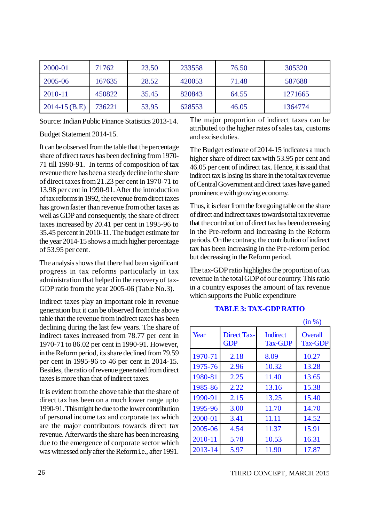| 2000-01           | 71762  | 23.50 | 233558 | 76.50 | 305320  |
|-------------------|--------|-------|--------|-------|---------|
| 2005-06           | 167635 | 28.52 | 420053 | 71.48 | 587688  |
| 2010-11           | 450822 | 35.45 | 820843 | 64.55 | 1271665 |
| $2014 - 15$ (B.E) | 736221 | 53.95 | 628553 | 46.05 | 1364774 |

Source: Indian Public Finance Statistics 2013-14.

Budget Statement 2014-15.

It can be observed from the table that the percentage share of direct taxes has been declining from 1970- 71 till 1990-91. In terms of composition of tax revenue there has been a steady decline in the share of direct taxes from 21.23 per cent in 1970-71 to 13.98 per cent in 1990-91. After the introduction of tax reforms in 1992, the revenue from direct taxes has grown faster than revenue from other taxes as well as GDP and consequently, the share of direct taxes increased by 20.41 per cent in 1995-96 to 35.45 percent in 2010-11. The budget estimate for the year 2014-15 shows a much higher percentage of 53.95 per cent.

The analysis shows that there had been significant progress in tax reforms particularly in tax administration that helped in the recovery of tax-GDP ratio from the year 2005-06 (Table No.3).

Indirect taxes play an important role in revenue generation but it can be observed from the above table that the revenue from indirect taxes has been declining during the last few years. The share of indirect taxes increased from 78.77 per cent in 1970-71 to 86.02 per cent in 1990-91. However, in the Reform period, its share declined from 79.59 per cent in 1995-96 to 46 per cent in 2014-15. Besides, the ratio of revenue generated from direct taxes is more than that of indirect taxes.

It is evident from the above table that the share of direct tax has been on a much lower range upto 1990-91. This might be due to the lower contribution of personal income tax and corporate tax which are the major contributors towards direct tax revenue. Afterwards the share has been increasing due to the emergence of corporate sector which was witnessed only after the Reform i.e., after 1991.

The major proportion of indirect taxes can be attributed to the higher rates of sales tax, customs and excise duties.

The Budget estimate of 2014-15 indicates a much higher share of direct tax with 53.95 per cent and 46.05 per cent of indirect tax. Hence, it is said that indirect tax is losing its share in the total tax revenue of Central Government and direct taxes have gained prominence with growing economy.

Thus, it is clear from the foregoing table on the share of direct and indirect taxes towards total tax revenue that the contribution of direct tax has been decreasing in the Pre-reform and increasing in the Reform periods. On the contrary, the contribution of indirect tax has been increasing in the Pre-reform period but decreasing in the Reform period.

The tax-GDP ratio highlights the proportion of tax revenue in the total GDP of our country. This ratio in a country exposes the amount of tax revenue which supports the Public expenditure

### **TABLE 3: TAX-GDP RATIO**

|             |                                  |                                   | (in %)                    |
|-------------|----------------------------------|-----------------------------------|---------------------------|
| Year        | <b>Direct Tax-</b><br><b>GDP</b> | <b>Indirect</b><br><b>Tax-GDP</b> | Overall<br><b>Tax-GDP</b> |
| 1970-71     | 2.18                             | 8.09                              | 10.27                     |
| 1975-76     | 2.96                             | 10.32                             | 13.28                     |
| 1980-81     | 2.25                             | 11.40                             | 13.65                     |
| 1985-86     | 2.22                             | 13.16                             | 15.38                     |
| 1990-91     | 2.15                             | 13.25                             | 15.40                     |
| 1995-96     | 3.00                             | 11.70                             | 14.70                     |
| 2000-01     | 3.41                             | 11.11                             | 14.52                     |
| 2005-06     | 4.54                             | 11.37                             | 15.91                     |
| 2010-11     | 5.78                             | 10.53                             | 16.31                     |
| $2013 - 14$ | 5.97                             | 11.90                             | 17.87                     |

### 26 THIRD CONCEPT, MARCH 2015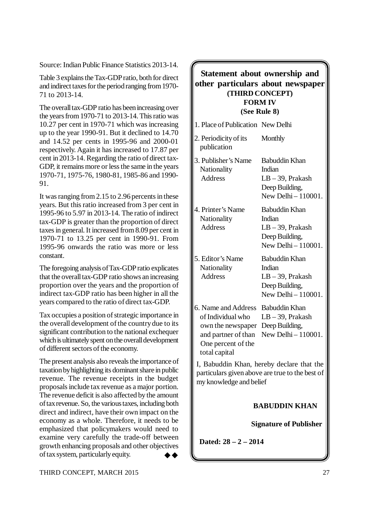Source: Indian Public Finance Statistics 2013-14.

Table 3 explains the Tax-GDP ratio, both for direct and indirect taxes for the period ranging from 1970- 71 to 2013-14.

The overall tax-GDP ratio has been increasing over the years from 1970-71 to 2013-14. This ratio was 10.27 per cent in 1970-71 which was increasing up to the year 1990-91. But it declined to 14.70 and 14.52 per cents in 1995-96 and 2000-01 respectively. Again it has increased to 17.87 per cent in 2013-14. Regarding the ratio of direct tax-GDP, it remains more or less the same in the years 1970-71, 1975-76, 1980-81, 1985-86 and 1990- 91.

It was ranging from 2.15 to 2.96 percents in these years. But this ratio increased from 3 per cent in 1995-96 to 5.97 in 2013-14. The ratio of indirect tax-GDP is greater than the proportion of direct taxes in general. It increased from 8.09 per cent in 1970-71 to 13.25 per cent in 1990-91. From 1995-96 onwards the ratio was more or less constant.

The foregoing analysis of Tax-GDP ratio explicates that the overall tax-GDP ratio shows an increasing proportion over the years and the proportion of indirect tax-GDP ratio has been higher in all the years compared to the ratio of direct tax-GDP.

Tax occupies a position of strategic importance in the overall development of the country due to its significant contribution to the national exchequer which is ultimately spent on the overall development of different sectors of the economy.

The present analysis also reveals the importance of taxation by highlighting its dominant share in public revenue. The revenue receipts in the budget proposals include tax revenue as a major portion. The revenue deficit is also affected by the amount of tax revenue. So, the various taxes, including both direct and indirect, have their own impact on the economy as a whole. Therefore, it needs to be emphasized that policymakers would need to examine very carefully the trade-off between growth enhancing proposals and other objectives of tax system, particularly equity.

## **Statement about ownership and other particulars about newspaper (THIRD CONCEPT) FORM IV (See Rule 8)**

1. Place of Publication New Delhi

- 2. Periodicity of its Monthly publication
- 3. Publisher's Name Babuddin Khan Nationality Indian Address LB – 39, Prakash Deep Building,
	- New Delhi 110001.
- 4. Printer's Name Babuddin Khan Nationality Indian Address LB – 39, Prakash Deep Building,
- New Delhi 110001. 5. Editor's Name Babuddin Khan Nationality Indian Address LB – 39, Prakash

Deep Building, New Delhi – 110001.

6. Name and Address Babuddin Khan of Individual who LB – 39, Prakash own the newspaper Deep Building, and partner of than New Delhi – 110001. One percent of the total capital

I, Babuddin Khan, hereby declare that the particulars given above are true to the best of my knowledge and belief

### **BABUDDIN KHAN**

 **Signature of Publisher**

 **Dated: 28 – 2 – 2014**

THIRD CONCEPT, MARCH 2015 27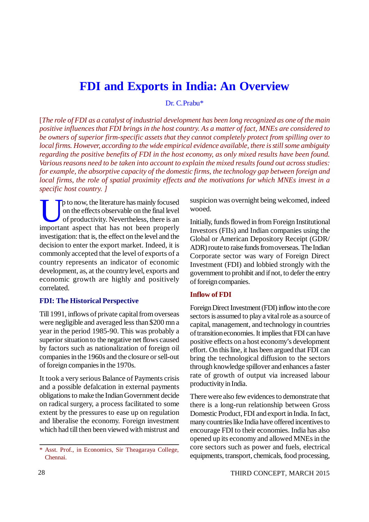# **FDI and Exports in India: An Overview**

Dr. C.Prabu\*

[*The role of FDI as a catalyst of industrial development has been long recognized as one of the main positive influences that FDI brings in the host country. As a matter of fact, MNEs are considered to be owners of superior firm-specific assets that they cannot completely protect from spilling over to local firms. However, according to the wide empirical evidence available, there is still some ambiguity regarding the positive benefits of FDI in the host economy, as only mixed results have been found. Various reasons need to be taken into account to explain the mixed results found out across studies: for example, the absorptive capacity of the domestic firms, the technology gap between foreign and local firms, the role of spatial proximity effects and the motivations for which MNEs invest in a specific host country. ]*

If to now, the literature has mainly focused<br>on the effects observable on the final level<br>of productivity. Nevertheless, there is an<br>important aspect that has not been properly p to now, the literature has mainly focused on the effects observable on the final level of productivity. Nevertheless, there is an investigation: that is, the effect on the level and the decision to enter the export market. Indeed, it is commonly accepted that the level of exports of a country represents an indicator of economic development, as, at the country level, exports and economic growth are highly and positively correlated.

### **FDI: The Historical Perspective**

Till 1991, inflows of private capital from overseas were negligible and averaged less than \$200 mn a year in the period 1985-90. This was probably a superior situation to the negative net flows caused by factors such as nationalization of foreign oil companies in the 1960s and the closure or sell-out of foreign companies in the 1970s.

It took a very serious Balance of Payments crisis and a possible defalcation in external payments obligations to make the Indian Government decide on radical surgery, a process facilitated to some extent by the pressures to ease up on regulation and liberalise the economy. Foreign investment which had till then been viewed with mistrust and

suspicion was overnight being welcomed, indeed wooed.

Initially, funds flowed in from Foreign Institutional Investors (FIIs) and Indian companies using the Global or American Depository Receipt (GDR/ ADR) route to raise funds from overseas. The Indian Corporate sector was wary of Foreign Direct Investment (FDI) and lobbied strongly with the government to prohibit and if not, to defer the entry of foreign companies.

### **Inflow of FDI**

Foreign Direct Investment (FDI) inflow into the core sectors is assumed to play a vital role as a source of capital, management, and technology in countries of transition economies. It implies that FDI can have positive effects on a host economy's development effort. On this line, it has been argued that FDI can bring the technological diffusion to the sectors through knowledge spillover and enhances a faster rate of growth of output via increased labour productivity in India.

There were also few evidences to demonstrate that there is a long-run relationship between Gross Domestic Product, FDI and export in India. In fact, many countries like India have offered incentives to encourage FDI to their economies. India has also opened up its economy and allowed MNEs in the core sectors such as power and fuels, electrical equipments, transport, chemicals, food processing,

<sup>\*</sup> Asst. Prof., in Economics, Sir Theagaraya College, Chennai.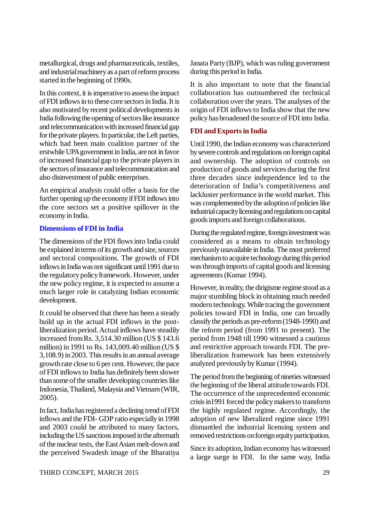metallurgical, drugs and pharmaceuticals, textiles, and industrial machinery as a part of reform process started in the beginning of 1990s.

In this context, it is imperative to assess the impact of FDI inflows in to these core sectors in India. It is also motivated by recent political developments in India following the opening of sectors like insurance and telecommunication with increased financial gap for the private players. In particular, the Left parties, which had been main coalition partner of the erstwhile UPA government in India, are not in favor of increased financial gap to the private players in the sectors of insurance and telecommunication and also disinvestment of public enterprises.

An empirical analysis could offer a basis for the further opening up the economy if FDI inflows into the core sectors set a positive spillover in the economy in India.

### **Dimensions of FDI in India**

The dimensions of the FDI flows into India could be explained in terms of its growth and size, sources and sectoral compositions. The growth of FDI inflows in India was not significant until 1991 due to the regulatory policy framework. However, under the new policy regime, it is expected to assume a much larger role in catalyzing Indian economic development.

It could be observed that there has been a steady build up in the actual FDI inflows in the postliberalization period. Actual inflows have steadily increased from Rs. 3,514.30 million (US \$ 143.6 million) in 1991 to Rs. 143,009.40 million (US \$ 3,108.9) in 2003. This results in an annual average growth rate close to 6 per cent. However, the pace of FDI inflows to India has definitely been slower than some of the smaller developing countries like Indonesia, Thailand, Malaysia and Vietnam (WIR, 2005).

In fact, India has registered a declining trend of FDI inflows and the FDI- GDP ratio especially in 1998 and 2003 could be attributed to many factors, including the US sanctions imposed in the aftermath of the nuclear tests, the East Asian melt-down and the perceived Swadesh image of the Bharatiya Janata Party (BJP), which was ruling government during this period in India.

It is also important to note that the financial collaboration has outnumbered the technical collaboration over the years. The analyses of the origin of FDI inflows to India show that the new policy has broadened the source of FDI into India.

#### **FDI and Exports in India**

Until 1990, the Indian economy was characterized by severe controls and regulations on foreign capital and ownership. The adoption of controls on production of goods and services during the first three decades since independence led to the deterioration of India's competitiveness and lackluster performance in the world market. This was complemented by the adoption of policies like industrial capacity licensing and regulations on capital goods imports and foreign collaborations.

During the regulated regime, foreign investment was considered as a means to obtain technology previously unavailable in India. The most preferred mechanism to acquire technology during this period was through imports of capital goods and licensing agreements (Kumar 1994).

However, in reality, the dirigisme regime stood as a major stumbling block in obtaining much needed modern technology. While tracing the government policies toward FDI in India, one can broadly classify the periods as pre-reform (1948-1990) and the reform period (from 1991 to present). The period from 1948 till 1990 witnessed a cautious and restrictive approach towards FDI. The preliberalization framework has been extensively analyzed previously by Kumar (1994).

The period from the beginning of nineties witnessed the beginning of the liberal attitude towards FDI. The occurrence of the unprecedented economic crisis in1991 forced the policy makers to transform the highly regulated regime. Accordingly, the adoption of new liberalized regime since 1991 dismantled the industrial licensing system and removed restrictions on foreign equity participation.

Since its adoption, Indian economy has witnessed a large surge in FDI. In the same way, India

### THIRD CONCEPT, MARCH 2015 29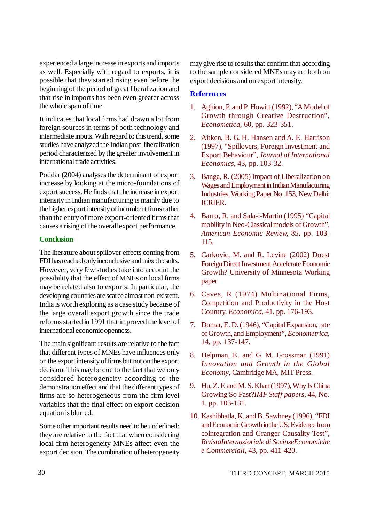experienced a large increase in exports and imports as well. Especially with regard to exports, it is possible that they started rising even before the beginning of the period of great liberalization and that rise in imports has been even greater across the whole span of time.

It indicates that local firms had drawn a lot from foreign sources in terms of both technology and intermediate inputs. With regard to this trend, some studies have analyzed the Indian post-liberalization period characterized by the greater involvement in international trade activities.

Poddar (2004) analyses the determinant of export increase by looking at the micro-foundations of export success. He finds that the increase in export intensity in Indian manufacturing is mainly due to the higher export intensity of incumbent firms rather than the entry of more export-oriented firms that causes a rising of the overall export performance.

## **Conclusion**

The literature about spillover effects coming from FDI has reached only inconclusive and mixed results. However, very few studies take into account the possibility that the effect of MNEs on local firms may be related also to exports. In particular, the developing countries are scarce almost non-existent. India is worth exploring as a case study because of the large overall export growth since the trade reforms started in 1991 that improved the level of international economic openness.

The main significant results are relative to the fact that different types of MNEs have influences only on the export intensity of firms but not on the export decision. This may be due to the fact that we only considered heterogeneity according to the demonstration effect and that the different types of firms are so heterogeneous from the firm level variables that the final effect on export decision equation is blurred.

Some other important results need to be underlined: they are relative to the fact that when considering local firm heterogeneity MNEs affect even the export decision. The combination of heterogeneity may give rise to results that confirm that according to the sample considered MNEs may act both on export decisions and on export intensity.

## **References**

- 1. Aghion, P. and P. Howitt (1992), "A Model of Growth through Creative Destruction", *Econometica*, 60, pp. 323-351.
- 2. Aitken, B. G. H. Hansen and A. E. Harrison (1997), "Spillovers, Foreign Investment and Export Behaviour", *Journal of International Economics*, 43, pp. 103-32.
- 3. Banga, R. (2005) Impact of Liberalization on Wages and Employment in Indian Manufacturing Industries, Working Paper No. 153, New Delhi: ICRIER.
- 4. Barro, R. and Sala-i-Martin (1995) "Capital mobility in Neo-Classical models of Growth", *American Economic Review,* 85, pp. 103- 115.
- 5. Carkovic, M. and R. Levine (2002) Doest Foreign Direct Investment Accelerate Economic Growth? University of Minnesota Working paper.
- 6. Caves, R (1974) Multinational Firms, Competition and Productivity in the Host Country. *Economica*, 41, pp. 176-193.
- 7. Domar, E. D. (1946), "Capital Expansion, rate of Growth, and Employment", *Econometrica*, 14, pp. 137-147.
- 8. Helpman, E. and G. M. Grossman (1991) *Innovation and Growth in the Global Economy*, Cambridge MA, MIT Press.
- 9. Hu, Z. F. and M. S. Khan (1997), Why Is China Growing So Fast?*IMF Staff papers,* 44, No. 1, pp. 103-131.
- 10. Kashibhatla, K. and B. Sawhney (1996), "FDI and Economic Growth in the US; Evidence from cointegration and Granger Causality Test", *RivistaInternazioriale di SceinzeEconomiche e Commerciali*, 43, pp. 411-420.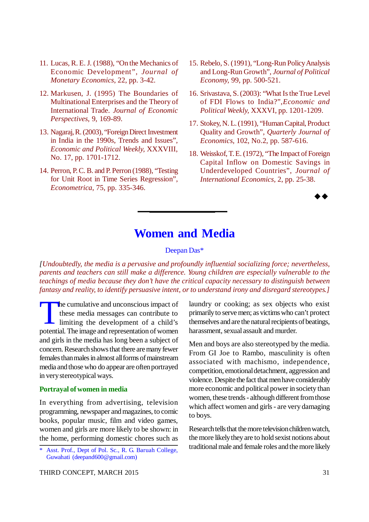- 11. Lucas, R. E. J. (1988), "On the Mechanics of Economic Development", *Journal of Monetary Economics*, 22, pp. 3-42.
- 12. Markusen, J. (1995) The Boundaries of Multinational Enterprises and the Theory of International Trade. *Journal of Economic Perspectives*, 9, 169-89.
- 13. Nagaraj, R. (2003), "Foreign Direct Investment in India in the 1990s, Trends and Issues", *Economic and Political Weekly,* XXXVIII, No. 17, pp. 1701-1712.
- 14. Perron, P. C. B. and P. Perron (1988), "Testing for Unit Root in Time Series Regression", *Econometrica*, 75, pp. 335-346.
- 15. Rebelo, S. (1991), "Long-Run Policy Analysis and Long-Run Growth", *Journal of Political Economy,* 99, pp. 500-521.
- 16. Srivastava, S. (2003): "What Is the True Level of FDI Flows to India?",*Economic and Political Weekly,* XXXVI, pp. 1201-1209.
- 17. Stokey, N. L. (1991), "Human Capital, Product Quality and Growth", *Quarterly Journal of Economics*, 102, No.2, pp. 587-616.
- 18. Weisskof, T. E. (1972), "The Impact of Foreign Capital Inflow on Domestic Savings in Underdeveloped Countries", *Journal of International Economics,* 2, pp. 25-38.

## $\rightarrow \rightarrow$

# **Women and Media**

#### Deepan Das\*

*[Undoubtedly, the media is a pervasive and profoundly influential socializing force; nevertheless, parents and teachers can still make a difference. Young children are especially vulnerable to the teachings of media because they don't have the critical capacity necessary to distinguish between fantasy and reality, to identify persuasive intent, or to understand irony and disregard stereotypes.]*

The cumulative and unconscious impact of<br>these media messages can contribute to<br>limiting the development of a child's<br>potential. The image and representation of women he cumulative and unconscious impact of these media messages can contribute to  $\overline{\phantom{a}}$  limiting the development of a child's and girls in the media has long been a subject of concern. Research shows that there are many fewer females than males in almost all forms of mainstream media and those who do appear are often portrayed in very stereotypical ways.

### **Portrayal of women in media**

In everything from advertising, television programming, newspaper and magazines, to comic books, popular music, film and video games, women and girls are more likely to be shown: in the home, performing domestic chores such as

laundry or cooking; as sex objects who exist primarily to serve men; as victims who can't protect themselves and are the natural recipients of beatings, harassment, sexual assault and murder.

Men and boys are also stereotyped by the media. From GI Joe to Rambo, masculinity is often associated with machismo, independence, competition, emotional detachment, aggression and violence. Despite the fact that men have considerably more economic and political power in society than women, these trends - although different from those which affect women and girls - are very damaging to boys.

Research tells that the more television children watch, the more likely they are to hold sexist notions about traditional male and female roles and the more likely

Asst. Prof., Dept of Pol. Sc., R. G. Baruah College, Guwahati (deepand600@gmail.com)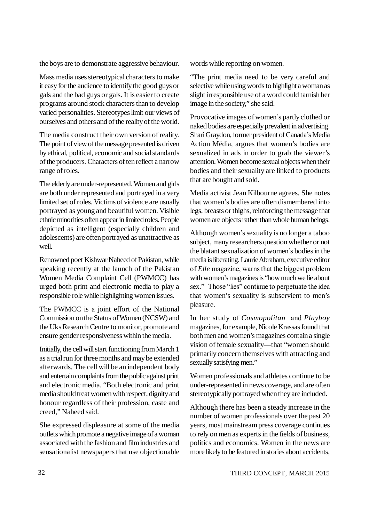the boys are to demonstrate aggressive behaviour.

Mass media uses stereotypical characters to make it easy for the audience to identify the good guys or gals and the bad guys or gals. It is easier to create programs around stock characters than to develop varied personalities. Stereotypes limit our views of ourselves and others and of the reality of the world.

The media construct their own version of reality. The point of view of the message presented is driven by ethical, political, economic and social standards of the producers. Characters of ten reflect a narrow range of roles.

The elderly are under-represented. Women and girls are both under represented and portrayed in a very limited set of roles. Victims of violence are usually portrayed as young and beautiful women. Visible ethnic minorities often appear in limited roles. People depicted as intelligent (especially children and adolescents) are often portrayed as unattractive as well.

Renowned poet Kishwar Naheed of Pakistan, while speaking recently at the launch of the Pakistan Women Media Complaint Cell (PWMCC) has urged both print and electronic media to play a responsible role while highlighting women issues.

The PWMCC is a joint effort of the National Commission on the Status of Women (NCSW) and the Uks Research Centre to monitor, promote and ensure gender responsiveness within the media.

Initially, the cell will start functioning from March 1 as a trial run for three months and may be extended afterwards. The cell will be an independent body and entertain complaints from the public against print and electronic media. "Both electronic and print media should treat women with respect, dignity and honour regardless of their profession, caste and creed," Naheed said.

She expressed displeasure at some of the media outlets which promote a negative image of a woman associated with the fashion and film industries and sensationalist newspapers that use objectionable words while reporting on women.

"The print media need to be very careful and selective while using words to highlight a woman as slight irresponsible use of a word could tarnish her image in the society," she said.

Provocative images of women's partly clothed or naked bodies are especially prevalent in advertising. Shari Graydon, former president of Canada's Media Action Média, argues that women's bodies are sexualized in ads in order to grab the viewer's attention. Women become sexual objects when their bodies and their sexuality are linked to products that are bought and sold.

Media activist Jean Kilbourne agrees. She notes that women's bodies are often dismembered into legs, breasts or thighs, reinforcing the message that women are objects rather than whole human beings.

Although women's sexuality is no longer a taboo subject, many researchers question whether or not the blatant sexualization of women's bodies in the media is liberating. Laurie Abraham, executive editor of *Elle* magazine, warns that the biggest problem with women's magazines is "how much we lie about sex." Those "lies" continue to perpetuate the idea that women's sexuality is subservient to men's pleasure.

In her study of *Cosmopolitan* and *Playboy* magazines, for example, Nicole Krassas found that both men and women's magazines contain a single vision of female sexuality—that "women should primarily concern themselves with attracting and sexually satisfying men."

Women professionals and athletes continue to be under-represented in news coverage, and are often stereotypically portrayed when they are included.

Although there has been a steady increase in the number of women professionals over the past 20 years, most mainstream press coverage continues to rely on men as experts in the fields of business, politics and economics. Women in the news are more likely to be featured in stories about accidents,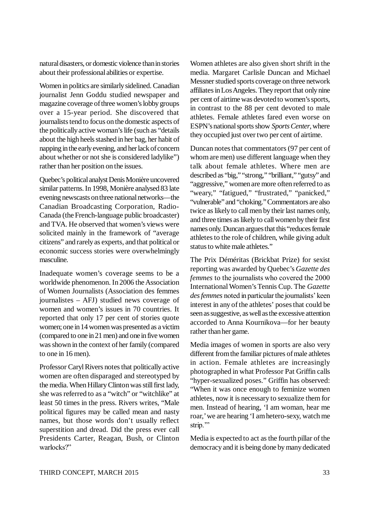natural disasters, or domestic violence than in stories about their professional abilities or expertise.

Women in politics are similarly sidelined. Canadian journalist Jenn Goddu studied newspaper and magazine coverage of three women's lobby groups over a 15-year period. She discovered that journalists tend to focus on the domestic aspects of the politically active woman's life (such as "details about the high heels stashed in her bag, her habit of napping in the early evening, and her lack of concern about whether or not she is considered ladylike") rather than her position on the issues.

Quebec's political analyst Denis Monière uncovered similar patterns. In 1998, Monière analysed 83 late evening newscasts on three national networks—the Canadian Broadcasting Corporation, Radio-Canada (the French-language public broadcaster) and TVA. He observed that women's views were solicited mainly in the framework of "average citizens" and rarely as experts, and that political or economic success stories were overwhelmingly masculine.

Inadequate women's coverage seems to be a worldwide phenomenon. In 2006 the Association of Women Journalists (Association des femmes journalistes – AFJ) studied news coverage of women and women's issues in 70 countries. It reported that only 17 per cent of stories quote women; one in 14 women was presented as a victim (compared to one in 21 men) and one in five women was shown in the context of her family (compared to one in 16 men).

Professor Caryl Rivers notes that politically active women are often disparaged and stereotyped by the media. When Hillary Clinton was still first lady, she was referred to as a "witch" or "witchlike" at least 50 times in the press. Rivers writes, "Male political figures may be called mean and nasty names, but those words don't usually reflect superstition and dread. Did the press ever call Presidents Carter, Reagan, Bush, or Clinton warlocks?"

Women athletes are also given short shrift in the media. Margaret Carlisle Duncan and Michael Messner studied sports coverage on three network affiliates in Los Angeles. They report that only nine per cent of airtime was devoted to women's sports, in contrast to the 88 per cent devoted to male athletes. Female athletes fared even worse on ESPN's national sports show *Sports Center*, where they occupied just over two per cent of airtime.

Duncan notes that commentators (97 per cent of whom are men) use different language when they talk about female athletes. Where men are described as "big," "strong," "brilliant," "gutsy" and "aggressive," women are more often referred to as "weary," "fatigued," "frustrated," "panicked," "vulnerable" and "choking." Commentators are also twice as likely to call men by their last names only, and three times as likely to call women by their first names only. Duncan argues that this "reduces female athletes to the role of children, while giving adult status to white male athletes."

The Prix Déméritas (Brickbat Prize) for sexist reporting was awarded by Quebec's *Gazette des femmes* to the journalists who covered the 2000 International Women's Tennis Cup. The *Gazette des femmes* noted in particular the journalists' keen interest in any of the athletes' poses that could be seen as suggestive, as well as the excessive attention accorded to Anna Kournikova—for her beauty rather than her game.

Media images of women in sports are also very different from the familiar pictures of male athletes in action. Female athletes are increasingly photographed in what Professor Pat Griffin calls "hyper-sexualized poses." Griffin has observed: "When it was once enough to feminize women athletes, now it is necessary to sexualize them for men. Instead of hearing, 'I am woman, hear me roar,' we are hearing 'I am hetero-sexy, watch me strip."

Media is expected to act as the fourth pillar of the democracy and it is being done by many dedicated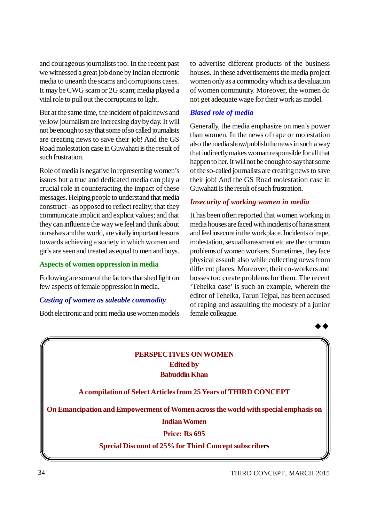and courageous journalists too. In the recent past we witnessed a great job done by Indian electronic media to unearth the scams and corruptions cases. It may be CWG scam or 2G scam; media played a vital role to pull out the corruptions to light.

But at the same time, the incident of paid news and yellow journalism are increasing day by day. It will not be enough to say that some of so called journalists are creating news to save their job! And the GS Road molestation case in Guwahati is the result of such frustration.

Role of media is negative in representing women's issues but a true and dedicated media can play a crucial role in counteracting the impact of these messages. Helping people to understand that media construct - as opposed to reflect reality; that they communicate implicit and explicit values; and that they can influence the way we feel and think about ourselves and the world, are vitally important lessons towards achieving a society in which women and girls are seen and treated as equal to men and boys.

### **Aspects of women oppression in media**

Following are some of the factors that shed light on few aspects of female oppression in media.

### *Casting of women as saleable commodity*

Both electronic and print media use women models

to advertise different products of the business houses. In these advertisements the media project women only as a commodity which is a devaluation of women community. Moreover, the women do not get adequate wage for their work as model.

### *Biased role of media*

Generally, the media emphasize on men's power than women. In the news of rape or molestation also the media show/publish the news in such a way that indirectly makes woman responsible for all that happen to her. It will not be enough to say that some of the so-called journalists are creating news to save their job! And the GS Road molestation case in Guwahati is the result of such frustration.

### *Insecurity of working women in media*

It has been often reported that women working in media houses are faced with incidents of harassment and feel insecure in the workplace. Incidents of rape, molestation, sexual harassment etc are the common problems of women workers. Sometimes, they face physical assault also while collecting news from different places. Moreover, their co-workers and bosses too create problems for them. The recent 'Tehelka case' is such an example, wherein the editor of Tehelka, Tarun Tejpal, has been accused of raping and assaulting the modesty of a junior female colleague.

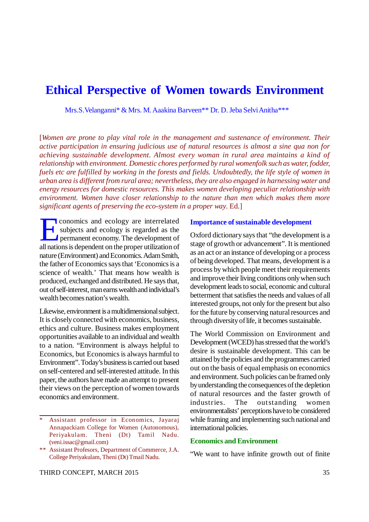## **Ethical Perspective of Women towards Environment**

Mrs.S.Velanganni\* & Mrs. M. Aaakina Barveen\*\* Dr. D. Jeba Selvi Anitha\*\*\*

[*Women are prone to play vital role in the management and sustenance of environment. Their active participation in ensuring judicious use of natural resources is almost a sine qua non for achieving sustainable development. Almost every woman in rural area maintains a kind of relationship with environment. Domestic chores performed by rural womenfolk such as water, fodder, fuels etc are fulfilled by working in the forests and fields. Undoubtedly, the life style of women in urban area is different from rural area; nevertheless, they are also engaged in harnessing water and energy resources for domestic resources. This makes women developing peculiar relationship with environment. Women have closer relationship to the nature than men which makes them more significant agents of preserving the eco-system in a proper way*. Ed.]

E conomics and ecology are interrelated subjects and ecology is regarded as the permanent economy. The development of all nations is dependent on the proper utilization of nature (Environment) and Economics. Adam Smith, the father of Economics says that 'Economics is a science of wealth.' That means how wealth is produced, exchanged and distributed. He says that, out of self-interest, man earns wealth and individual's wealth becomes nation's wealth.

Likewise, environment is a multidimensional subject. It is closely connected with economics, business, ethics and culture. Business makes employment opportunities available to an individual and wealth to a nation. "Environment is always helpful to Economics, but Economics is always harmful to Environment". Today's business is carried out based on self-centered and self-interested attitude. In this paper, the authors have made an attempt to present their views on the perception of women towards economics and environment.

#### **Importance of sustainable development**

Oxford dictionary says that "the development is a stage of growth or advancement". It is mentioned as an act or an instance of developing or a process of being developed. That means, development is a process by which people meet their requirements and improve their living conditions only when such development leads to social, economic and cultural betterment that satisfies the needs and values of all interested groups, not only for the present but also for the future by conserving natural resources and through diversity of life, it becomes sustainable.

The World Commission on Environment and Development (WCED) has stressed that the world's desire is sustainable development. This can be attained by the policies and the programmes carried out on the basis of equal emphasis on economics and environment. Such policies can be framed only by understanding the consequences of the depletion of natural resources and the faster growth of industries. The outstanding women environmentalists' perceptions have to be considered while framing and implementing such national and international policies.

### **Economics and Environment**

"We want to have infinite growth out of finite

Assistant professor in Economics, Jayaraj Annapackiam College for Women (Autonomous), Periyakulam. Theni (Dt) Tamil Nadu. (veni.issac@gmail.com)

<sup>\*\*</sup> Assistant Profesors, Department of Commerce, J.A. College Periyakulam, Theni (Dt) Tmail Nadu.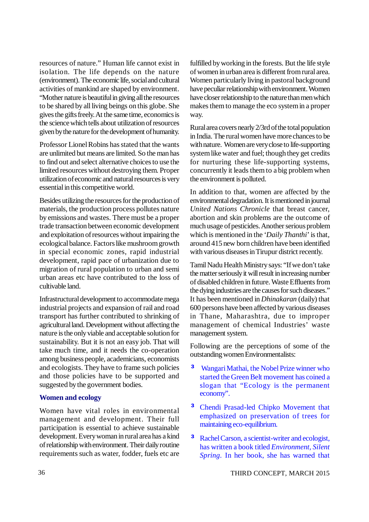resources of nature." Human life cannot exist in isolation. The life depends on the nature (environment). The economic life, social and cultural activities of mankind are shaped by environment. "Mother nature is beautiful in giving all the resources to be shared by all living beings on this globe. She gives the gifts freely. At the same time, economics is the science which tells about utilization of resources given by the nature for the development of humanity.

Professor Lionel Robins has stated that the wants are unlimited but means are limited. So the man has to find out and select alternative choices to use the limited resources without destroying them. Proper utilization of economic and natural resources is very essential in this competitive world.

Besides utilizing the resources for the production of materials, the production process pollutes nature by emissions and wastes. There must be a proper trade transaction between economic development and exploitation of resources without impairing the ecological balance. Factors like mushroom growth in special economic zones, rapid industrial development, rapid pace of urbanization due to migration of rural population to urban and semi urban areas etc have contributed to the loss of cultivable land.

Infrastructural development to accommodate mega industrial projects and expansion of rail and road transport has further contributed to shrinking of agricultural land. Development without affecting the nature is the only viable and acceptable solution for sustainability. But it is not an easy job. That will take much time, and it needs the co-operation among business people, academicians, economists and ecologists. They have to frame such policies and those policies have to be supported and suggested by the government bodies.

### **Women and ecology**

Women have vital roles in environmental management and development. Their full participation is essential to achieve sustainable development. Every woman in rural area has a kind of relationship with environment. Their daily routine requirements such as water, fodder, fuels etc are fulfilled by working in the forests. But the life style of women in urban area is different from rural area. Women particularly living in pastoral background have peculiar relationship with environment. Women have closer relationship to the nature than men which makes them to manage the eco system in a proper way.

Rural area covers nearly 2/3rd of the total population in India. The rural women have more chances to be with nature. Women are very close to life-supporting system like water and fuel; though they get credits for nurturing these life-supporting systems, concurrently it leads them to a big problem when the environment is polluted.

In addition to that, women are affected by the environmental degradation. It is mentioned in journal *United Nations Chronicle* that breast cancer, abortion and skin problems are the outcome of much usage of pesticides. Another serious problem which is mentioned in the '*Daily Thanthi*' is that, around 415 new born children have been identified with various diseases in Tirupur district recently.

Tamil Nadu Health Ministry says: "If we don't take the matter seriously it will result in increasing number of disabled children in future. Waste Effluents from the dying industries are the causes for such diseases." It has been mentioned in *Dhinakaran* (daily) that 600 persons have been affected by various diseases in Thane, Maharashtra, due to improper management of chemical Industries' waste management system.

Following are the perceptions of some of the outstanding women Environmentalists:

- **³** Wangari Mathai, the Nobel Prize winner who started the Green Belt movement has coined a slogan that "Ecology is the permanent economy".
- **³** Chendi Prasad-led Chipko Movement that emphasized on preservation of trees for maintaining eco-equilibrium.
- **³** Rachel Carson, a scientist-writer and ecologist, has written a book titled *Environment, Silent Spring*. In her book, she has warned that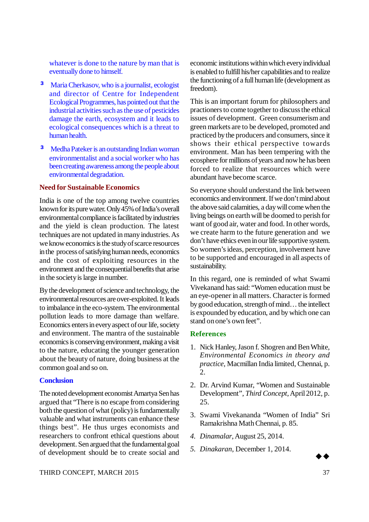whatever is done to the nature by man that is eventually done to himself.

- **³** Maria Cherkasov, who is a journalist, ecologist and director of Centre for Independent Ecological Programmes, has pointed out that the industrial activities such as the use of pesticides damage the earth, ecosystem and it leads to ecological consequences which is a threat to human health.
- **³** Medha Pateker is an outstanding Indian woman environmentalist and a social worker who has been creating awareness among the people about environmental degradation.

### **Need for Sustainable Economics**

India is one of the top among twelve countries known for its pure water. Only 45% of India's overall environmental compliance is facilitated by industries and the yield is clean production. The latest techniques are not updated in many industries. As we know economics is the study of scarce resources in the process of satisfying human needs, economics and the cost of exploiting resources in the environment and the consequential benefits that arise in the society is large in number.

By the development of science and technology, the environmental resources are over-exploited. It leads to imbalance in the eco-system. The environmental pollution leads to more damage than welfare. Economics enters in every aspect of our life, society and environment. The mantra of the sustainable economics is conserving environment, making a visit to the nature, educating the younger generation about the beauty of nature, doing business at the common goal and so on.

#### **Conclusion**

The noted development economist Amartya Sen has argued that "There is no escape from considering both the question of what (policy) is fundamentally valuable and what instruments can enhance these things best". He thus urges economists and researchers to confront ethical questions about development. Sen argued that the fundamental goal of development should be to create social and economic institutions within which every individual is enabled to fulfill his/her capabilities and to realize the functioning of a full human life (development as freedom).

This is an important forum for philosophers and practioners to come together to discuss the ethical issues of development. Green consumerism and green markets are to be developed, promoted and practiced by the producers and consumers, since it shows their ethical perspective towards environment. Man has been tempering with the ecosphere for millions of years and now he has been forced to realize that resources which were abundant have become scarce.

So everyone should understand the link between economics and environment. If we don't mind about the above said calamities, a day will come when the living beings on earth will be doomed to perish for want of good air, water and food. In other words, we create harm to the future generation and we don't have ethics even in our life supportive system. So women's ideas, perception, involvement have to be supported and encouraged in all aspects of sustainability.

In this regard, one is reminded of what Swami Vivekanand has said: "Women education must be an eye-opener in all matters. Character is formed by good education, strength of mind… the intellect is expounded by education, and by which one can stand on one's own feet".

#### **References**

- 1. Nick Hanley, Jason f. Shogren and Ben White, *Environmental Economics in theory and practice*, Macmillan India limited, Chennai, p.  $\mathcal{D}$
- 2. Dr. Arvind Kumar, "Women and Sustainable Development", *Third Concept*, April 2012, p. 25.
- 3. Swami Vivekananda "Women of India" Sri Ramakrishna Math Chennai, p. 85.
- *4. Dinamalar*, August 25, 2014.
- *5. Dinakaran*, December 1, 2014.

#### THIRD CONCEPT, MARCH 2015 37

 $\rightarrow \rightarrow$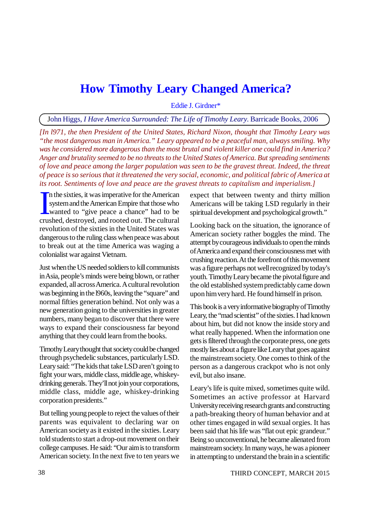# **How Timothy Leary Changed America?**

Eddie J. Girdner\*

John Higgs, *I Have America Surrounded: The Life of Timothy Leary*. Barricade Books, 2006

*[In l971, the then President of the United States, Richard Nixon, thought that Timothy Leary was "the most dangerous man in America." Leary appeared to be a peaceful man, always smiling. Why was he considered more dangerous than the most brutal and violent killer one could find in America? Anger and brutality seemed to be no threats to the United States of America. But spreading sentiments of love and peace among the larger population was seen to be the gravest threat. Indeed, the threat of peace is so serious that it threatened the very social, economic, and political fabric of America at its root. Sentiments of love and peace are the gravest threats to capitalism and imperialism.]*

I s n the sixties, it was imperative for the American system and the American Empire that those who wanted to "give peace a chance" had to be crushed, destroyed, and rooted out. The cultural revolution of the sixties in the United States was dangerous to the ruling class when peace was about to break out at the time America was waging a colonialist war against Vietnam.

Just when the US needed soldiers to kill communists in Asia, people's minds were being blown, or rather expanded, all across America. A cultural revolution was beginning in the l960s, leaving the "square" and normal fifties generation behind. Not only was a new generation going to the universities in greater numbers, many began to discover that there were ways to expand their consciousness far beyond anything that they could learn from the books.

Timothy Leary thought that society could be changed through psychedelic substances, particularly LSD. Leary said: "The kids that take LSD aren't going to fight your wars, middle class, middle age, whiskeydrinking generals. They'll not join your corporations, middle class, middle age, whiskey-drinking corporation presidents."

But telling young people to reject the values of their parents was equivalent to declaring war on American society as it existed in the sixties. Leary told students to start a drop-out movement on their college campuses. He said: "Our aim is to transform American society. In the next five to ten years we

expect that between twenty and thirty million Americans will be taking LSD regularly in their spiritual development and psychological growth."

Looking back on the situation, the ignorance of American society rather boggles the mind. The attempt by courageous individuals to open the minds of America and expand their consciousness met with crushing reaction. At the forefront of this movement was a figure perhaps not well recognized by today's youth. Timothy Leary became the pivotal figure and the old established system predictably came down upon him very hard. He found himself in prison.

This book is a very informative biography of Timothy Leary, the "mad scientist" of the sixties. I had known about him, but did not know the inside story and what really happened. When the information one gets is filtered through the corporate press, one gets mostly lies about a figure like Leary that goes against the mainstream society. One comes to think of the person as a dangerous crackpot who is not only evil, but also insane.

Leary's life is quite mixed, sometimes quite wild. Sometimes an active professor at Harvard University receiving research grants and constructing a path-breaking theory of human behavior and at other times engaged in wild sexual orgies. It has been said that his life was "flat out epic grandeur." Being so unconventional, he became alienated from mainstream society. In many ways, he was a pioneer in attempting to understand the brain in a scientific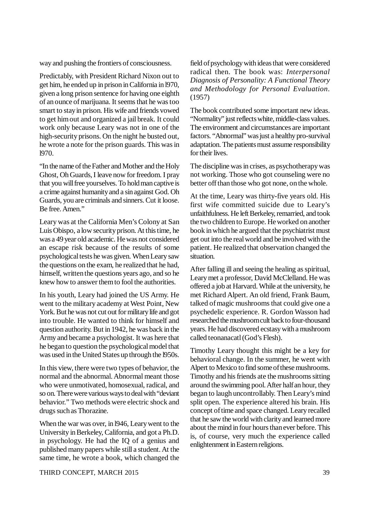way and pushing the frontiers of consciousness.

Predictably, with President Richard Nixon out to get him, he ended up in prison in California in l970, given a long prison sentence for having one eighth of an ounce of marijuana. It seems that he was too smart to stay in prison. His wife and friends vowed to get him out and organized a jail break. It could work only because Leary was not in one of the high-security prisons. On the night he busted out, he wrote a note for the prison guards. This was in l970.

"In the name of the Father and Mother and the Holy Ghost, Oh Guards, I leave now for freedom. I pray that you will free yourselves. To hold man captive is a crime against humanity and a sin against God. Oh Guards, you are criminals and sinners. Cut it loose. Be free. Amen."

Leary was at the California Men's Colony at San Luis Obispo, a low security prison. At this time, he was a 49 year old academic. He was not considered an escape risk because of the results of some psychological tests he was given. When Leary saw the questions on the exam, he realized that he had, himself, written the questions years ago, and so he knew how to answer them to fool the authorities.

In his youth, Leary had joined the US Army. He went to the military academy at West Point, New York. But he was not cut out for military life and got into trouble. He wanted to think for himself and question authority. But in 1942, he was back in the Army and became a psychologist. It was here that he began to question the psychological model that was used in the United States up through the l950s.

In this view, there were two types of behavior, the normal and the abnormal. Abnormal meant those who were unmotivated, homosexual, radical, and so on. There were various ways to deal with "deviant behavior." Two methods were electric shock and drugs such as Thorazine.

When the war was over, in l946, Leary went to the University in Berkeley, California, and got a Ph.D. in psychology. He had the IQ of a genius and published many papers while still a student. At the same time, he wrote a book, which changed the

THIRD CONCEPT, MARCH 2015 39

field of psychology with ideas that were considered radical then. The book was: *Interpersonal Diagnosis of Personality: A Functional Theory and Methodology for Personal Evaluation*. (1957)

The book contributed some important new ideas. "Normality" just reflects white, middle-class values. The environment and circumstances are important factors. "Abnormal" was just a healthy pro-survival adaptation. The patients must assume responsibility for their lives.

The discipline was in crises, as psychotherapy was not working. Those who got counseling were no better off than those who got none, on the whole.

At the time, Leary was thirty-five years old. His first wife committed suicide due to Leary's unfaithfulness. He left Berkeley, remarried, and took the two children to Europe. He worked on another book in which he argued that the psychiatrist must get out into the real world and be involved with the patient. He realized that observation changed the situation.

After falling ill and seeing the healing as spiritual, Leary met a professor, David McClelland. He was offered a job at Harvard. While at the university, he met Richard Alpert. An old friend, Frank Baum, talked of magic mushrooms that could give one a psychedelic experience. R. Gordon Wasson had researched the mushroom cult back to four-thousand years. He had discovered ecstasy with a mushroom called teonanacatl (God's Flesh).

Timothy Leary thought this might be a key for behavioral change. In the summer, he went with Alpert to Mexico to find some of these mushrooms. Timothy and his friends ate the mushrooms sitting around the swimming pool. After half an hour, they began to laugh uncontrollably. Then Leary's mind split open. The experience altered his brain. His concept of time and space changed. Leary recalled that he saw the world with clarity and learned more about the mind in four hours than ever before. This is, of course, very much the experience called enlightenment in Eastern religions.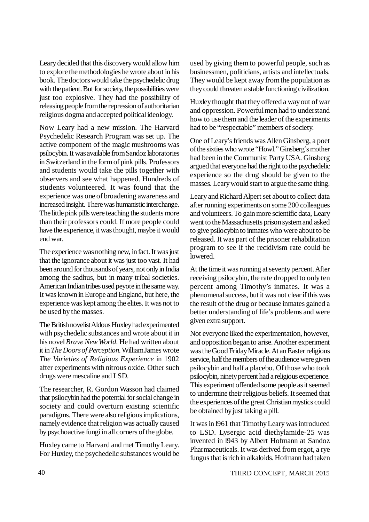Leary decided that this discovery would allow him to explore the methodologies he wrote about in his book. The doctors would take the psychedelic drug with the patient. But for society, the possibilities were just too explosive. They had the possibility of releasing people from the repression of authoritarian religious dogma and accepted political ideology.

Now Leary had a new mission. The Harvard Psychedelic Research Program was set up. The active component of the magic mushrooms was psilocybin. It was available from Sandoz laboratories in Switzerland in the form of pink pills. Professors and students would take the pills together with observers and see what happened. Hundreds of students volunteered. It was found that the experience was one of broadening awareness and increased insight. There was humanistic interchange. The little pink pills were teaching the students more than their professors could. If more people could have the experience, it was thought, maybe it would end war.

The experience was nothing new, in fact. It was just that the ignorance about it was just too vast. It had been around for thousands of years, not only in India among the sadhus, but in many tribal societies. American Indian tribes used peyote in the same way. It was known in Europe and England, but here, the experience was kept among the elites. It was not to be used by the masses.

The British novelist Aldous Huxley had experimented with psychedelic substances and wrote about it in his novel *Brave New World*. He had written about it in *The Doors of Perception*. William James wrote *The Varieties of Religious Experience* in 1902 after experiments with nitrous oxide. Other such drugs were mescaline and LSD.

The researcher, R. Gordon Wasson had claimed that psilocybin had the potential for social change in society and could overturn existing scientific paradigms. There were also religious implications, namely evidence that religion was actually caused by psychoactive fungi in all corners of the globe.

Huxley came to Harvard and met Timothy Leary. For Huxley, the psychedelic substances would be used by giving them to powerful people, such as businessmen, politicians, artists and intellectuals. They would be kept away from the population as they could threaten a stable functioning civilization.

Huxley thought that they offered a way out of war and oppression. Powerful men had to understand how to use them and the leader of the experiments had to be "respectable" members of society.

One of Leary's friends was Allen Ginsberg, a poet of the sixties who wrote "Howl." Ginsberg's mother had been in the Communist Party USA. Ginsberg argued that everyone had the right to the psychedelic experience so the drug should be given to the masses. Leary would start to argue the same thing.

Leary and Richard Alpert set about to collect data after running experiments on some 200 colleagues and volunteers. To gain more scientific data, Leary went to the Massachusetts prison system and asked to give psilocybin to inmates who were about to be released. It was part of the prisoner rehabilitation program to see if the recidivism rate could be lowered.

At the time it was running at seventy percent. After receiving psilocybin, the rate dropped to only ten percent among Timothy's inmates. It was a phenomenal success, but it was not clear if this was the result of the drug or because inmates gained a better understanding of life's problems and were given extra support.

Not everyone liked the experimentation, however, and opposition began to arise. Another experiment was the Good Friday Miracle. At an Easter religious service, half the members of the audience were given psilocybin and half a placebo. Of those who took psilocybin, ninety percent had a religious experience. This experiment offended some people as it seemed to undermine their religious beliefs. It seemed that the experiences of the great Christian mystics could be obtained by just taking a pill.

It was in l961 that Timothy Leary was introduced to LSD. Lysergic acid diethylamide-25 was invented in l943 by Albert Hofmann at Sandoz Pharmaceuticals. It was derived from ergot, a rye fungus that is rich in alkaloids. Hofmann had taken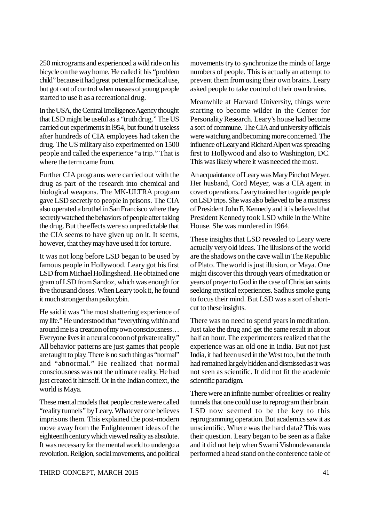250 micrograms and experienced a wild ride on his bicycle on the way home. He called it his "problem child" because it had great potential for medical use, but got out of control when masses of young people started to use it as a recreational drug.

In the USA, the Central Intelligence Agency thought that LSD might be useful as a "truth drug." The US carried out experiments in l954, but found it useless after hundreds of CIA employees had taken the drug. The US military also experimented on 1500 people and called the experience "a trip." That is where the term came from.

Further CIA programs were carried out with the drug as part of the research into chemical and biological weapons. The MK-ULTRA program gave LSD secretly to people in prisons. The CIA also operated a brothel in San Francisco where they secretly watched the behaviors of people after taking the drug. But the effects were so unpredictable that the CIA seems to have given up on it. It seems, however, that they may have used it for torture.

It was not long before LSD began to be used by famous people in Hollywood. Leary got his first LSD from Michael Hollingshead. He obtained one gram of LSD from Sandoz, which was enough for five thousand doses. When Leary took it, he found it much stronger than psilocybin.

He said it was "the most shattering experience of my life." He understood that "everything within and around me is a creation of my own consciousness… Everyone lives in a neural cocoon of private reality." All behavior patterns are just games that people are taught to play. There is no such thing as "normal" and "abnormal." He realized that normal consciousness was not the ultimate reality. He had just created it himself. Or in the Indian context, the world is Maya.

These mental models that people create were called "reality tunnels" by Leary. Whatever one believes imprisons them. This explained the post-modern move away from the Enlightenment ideas of the eighteenth century which viewed reality as absolute. It was necessary for the mental world to undergo a revolution. Religion, social movements, and political

movements try to synchronize the minds of large numbers of people. This is actually an attempt to prevent them from using their own brains. Leary asked people to take control of their own brains.

Meanwhile at Harvard University, things were starting to become wilder in the Center for Personality Research. Leary's house had become a sort of commune. The CIA and university officials were watching and becoming more concerned. The influence of Leary and Richard Alpert was spreading first to Hollywood and also to Washington, DC. This was likely where it was needed the most.

An acquaintance of Leary was Mary Pinchot Meyer. Her husband, Cord Meyer, was a CIA agent in covert operations. Leary trained her to guide people on LSD trips. She was also believed to be a mistress of President John F. Kennedy and it is believed that President Kennedy took LSD while in the White House. She was murdered in 1964.

These insights that LSD revealed to Leary were actually very old ideas. The illusions of the world are the shadows on the cave wall in The Republic of Plato. The world is just illusion, or Maya. One might discover this through years of meditation or years of prayer to God in the case of Christian saints seeking mystical experiences. Sadhus smoke gung to focus their mind. But LSD was a sort of shortcut to these insights.

There was no need to spend years in meditation. Just take the drug and get the same result in about half an hour. The experimenters realized that the experience was an old one in India. But not just India, it had been used in the West too, but the truth had remained largely hidden and dismissed as it was not seen as scientific. It did not fit the academic scientific paradigm.

There were an infinite number of realities or reality tunnels that one could use to reprogram their brain. LSD now seemed to be the key to this reprogramming operation. But academics saw it as unscientific. Where was the hard data? This was their question. Leary began to be seen as a flake and it did not help when Swami Vishnudevananda performed a head stand on the conference table of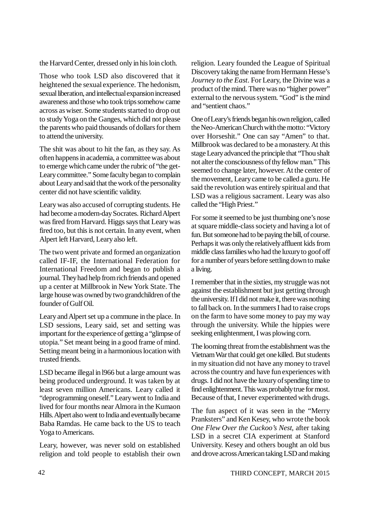the Harvard Center, dressed only in his loin cloth.

Those who took LSD also discovered that it heightened the sexual experience. The hedonism, sexual liberation, and intellectual expansion increased awareness and those who took trips somehow came across as wiser. Some students started to drop out to study Yoga on the Ganges, which did not please the parents who paid thousands of dollars for them to attend the university.

The shit was about to hit the fan, as they say. As often happens in academia, a committee was about to emerge which came under the rubric of "the get-Leary committee." Some faculty began to complain about Leary and said that the work of the personality center did not have scientific validity.

Leary was also accused of corrupting students. He had become a modern-day Socrates. Richard Alpert was fired from Harvard. Higgs says that Leary was fired too, but this is not certain. In any event, when Alpert left Harvard, Leary also left.

The two went private and formed an organization called IF-IF, the International Federation for International Freedom and began to publish a journal. They had help from rich friends and opened up a center at Millbrook in New York State. The large house was owned by two grandchildren of the founder of Gulf Oil.

Leary and Alpert set up a commune in the place. In LSD sessions, Leary said, set and setting was important for the experience of getting a "glimpse of utopia." Set meant being in a good frame of mind. Setting meant being in a harmonious location with trusted friends.

LSD became illegal in l966 but a large amount was being produced underground. It was taken by at least seven million Americans. Leary called it "deprogramming oneself." Leary went to India and lived for four months near Almora in the Kumaon Hills. Alpert also went to India and eventually became Baba Ramdas. He came back to the US to teach Yoga to Americans.

Leary, however, was never sold on established religion and told people to establish their own

religion. Leary founded the League of Spiritual Discovery taking the name from Hermann Hesse's *Journey to the East*. For Leary, the Divine was a product of the mind. There was no "higher power" external to the nervous system. "God" is the mind and "sentient chaos."

One of Leary's friends began his own religion, called the Neo-American Church with the motto: "Victory over Horseshit." One can say "Amen" to that. Millbrook was declared to be a monastery. At this stage Leary advanced the principle that "Thou shalt not alter the consciousness of thy fellow man." This seemed to change later, however. At the center of the movement, Leary came to be called a guru. He said the revolution was entirely spiritual and that LSD was a religious sacrament. Leary was also called the "High Priest."

For some it seemed to be just thumbing one's nose at square middle-class society and having a lot of fun. But someone had to be paying the bill, of course. Perhaps it was only the relatively affluent kids from middle class families who had the luxury to goof off for a number of years before settling down to make a living.

I remember that in the sixties, my struggle was not against the establishment but just getting through the university. If I did not make it, there was nothing to fall back on. In the summers I had to raise crops on the farm to have some money to pay my way through the university. While the hippies were seeking enlightenment, I was plowing corn.

The looming threat from the establishment was the Vietnam War that could get one killed. But students in my situation did not have any money to travel across the country and have fun experiences with drugs. I did not have the luxury of spending time to find enlightenment. This was probably true for most. Because of that, I never experimented with drugs.

The fun aspect of it was seen in the "Merry Pranksters" and Ken Kesey, who wrote the book *One Flew Over the Cuckoo's Nest*, after taking LSD in a secret CIA experiment at Stanford University. Kesey and others bought an old bus and drove across American taking LSD and making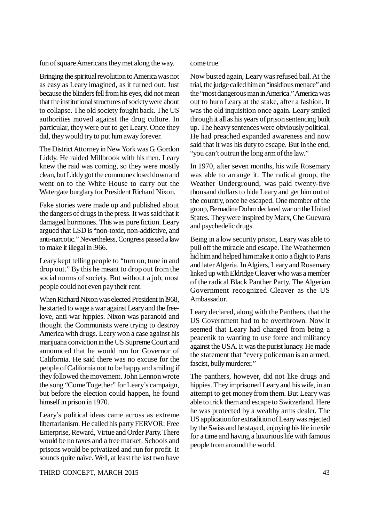fun of square Americans they met along the way.

Bringing the spiritual revolution to America was not as easy as Leary imagined, as it turned out. Just because the blinders fell from his eyes, did not mean that the institutional structures of society were about to collapse. The old society fought back. The US authorities moved against the drug culture. In particular, they were out to get Leary. Once they did, they would try to put him away forever.

The District Attorney in New York was G. Gordon Liddy. He raided Millbrook with his men. Leary knew the raid was coming, so they were mostly clean, but Liddy got the commune closed down and went on to the White House to carry out the Watergate burglary for President Richard Nixon.

Fake stories were made up and published about the dangers of drugs in the press. It was said that it damaged hormones. This was pure fiction. Leary argued that LSD is "non-toxic, non-addictive, and anti-narcotic." Nevertheless, Congress passed a law to make it illegal in l966.

Leary kept telling people to "turn on, tune in and drop out." By this he meant to drop out from the social norms of society. But without a job, most people could not even pay their rent.

When Richard Nixon was elected President in l968, he started to wage a war against Leary and the freelove, anti-war hippies. Nixon was paranoid and thought the Communists were trying to destroy America with drugs. Leary won a case against his marijuana conviction in the US Supreme Court and announced that he would run for Governor of California. He said there was no excuse for the people of California not to be happy and smiling if they followed the movement. John Lennon wrote the song "Come Together" for Leary's campaign, but before the election could happen, he found himself in prison in 1970.

Leary's political ideas came across as extreme libertarianism. He called his party FERVOR: Free Enterprise, Reward, Virtue and Order Party. There would be no taxes and a free market. Schools and prisons would be privatized and run for profit. It sounds quite naïve. Well, at least the last two have

THIRD CONCEPT, MARCH 2015 43

come true.

Now busted again, Leary was refused bail. At the trial, the judge called him an "insidious menace" and the "most dangerous man in America." America was out to burn Leary at the stake, after a fashion. It was the old inquisition once again. Leary smiled through it all as his years of prison sentencing built up. The heavy sentences were obviously political. He had preached expanded awareness and now said that it was his duty to escape. But in the end, "you can't outrun the long arm of the law."

In 1970, after seven months, his wife Rosemary was able to arrange it. The radical group, the Weather Underground, was paid twenty-five thousand dollars to hide Leary and get him out of the country, once he escaped. One member of the group, Bernadine Dohrn declared war on the United States. They were inspired by Marx, Che Guevara and psychedelic drugs.

Being in a low security prison, Leary was able to pull off the miracle and escape. The Weathermen hid him and helped him make it onto a flight to Paris and later Algeria. In Algiers, Leary and Rosemary linked up with Eldridge Cleaver who was a member of the radical Black Panther Party. The Algerian Government recognized Cleaver as the US Ambassador.

Leary declared, along with the Panthers, that the US Government had to be overthrown. Now it seemed that Leary had changed from being a peacenik to wanting to use force and militancy against the USA. It was the purist lunacy. He made the statement that "every policeman is an armed, fascist, bully murderer."

The panthers, however, did not like drugs and hippies. They imprisoned Leary and his wife, in an attempt to get money from them. But Leary was able to trick them and escape to Switzerland. Here he was protected by a wealthy arms dealer. The US application for extradition of Leary was rejected by the Swiss and he stayed, enjoying his life in exile for a time and having a luxurious life with famous people from around the world.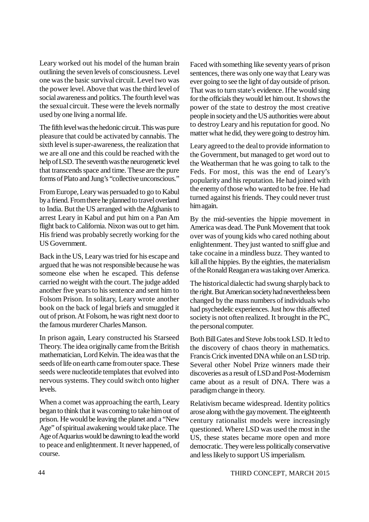Leary worked out his model of the human brain outlining the seven levels of consciousness. Level one was the basic survival circuit. Level two was the power level. Above that was the third level of social awareness and politics. The fourth level was the sexual circuit. These were the levels normally used by one living a normal life.

The fifth level was the hedonic circuit. This was pure pleasure that could be activated by cannabis. The sixth level is super-awareness, the realization that we are all one and this could be reached with the help of LSD. The seventh was the neurogenetic level that transcends space and time. These are the pure forms of Plato and Jung's "collective unconscious."

From Europe, Leary was persuaded to go to Kabul by a friend. From there he planned to travel overland to India. But the US arranged with the Afghanis to arrest Leary in Kabul and put him on a Pan Am flight back to California. Nixon was out to get him. His friend was probably secretly working for the US Government.

Back in the US, Leary was tried for his escape and argued that he was not responsible because he was someone else when he escaped. This defense carried no weight with the court. The judge added another five years to his sentence and sent him to Folsom Prison. In solitary, Leary wrote another book on the back of legal briefs and smuggled it out of prison. At Folsom, he was right next door to the famous murderer Charles Manson.

In prison again, Leary constructed his Starseed Theory. The idea originally came from the British mathematician, Lord Kelvin. The idea was that the seeds of life on earth came from outer space. These seeds were nucleotide templates that evolved into nervous systems. They could switch onto higher levels.

When a comet was approaching the earth, Leary began to think that it was coming to take him out of prison. He would be leaving the planet and a "New Age" of spiritual awakening would take place. The Age of Aquarius would be dawning to lead the world to peace and enlightenment. It never happened, of course.

Faced with something like seventy years of prison sentences, there was only one way that Leary was ever going to see the light of day outside of prison. That was to turn state's evidence. If he would sing for the officials they would let him out. It shows the power of the state to destroy the most creative people in society and the US authorities were about to destroy Leary and his reputation for good. No matter what he did, they were going to destroy him.

Leary agreed to the deal to provide information to the Government, but managed to get word out to the Weatherman that he was going to talk to the Feds. For most, this was the end of Leary's popularity and his reputation. He had joined with the enemy of those who wanted to be free. He had turned against his friends. They could never trust him again.

By the mid-seventies the hippie movement in America was dead. The Punk Movement that took over was of young kids who cared nothing about enlightenment. They just wanted to sniff glue and take cocaine in a mindless buzz. They wanted to kill all the hippies. By the eighties, the materialism of the Ronald Reagan era was taking over America.

The historical dialectic had swung sharply back to the right. But American society had nevertheless been changed by the mass numbers of individuals who had psychedelic experiences. Just how this affected society is not often realized. It brought in the PC, the personal computer.

Both Bill Gates and Steve Jobs took LSD. It led to the discovery of chaos theory in mathematics. Francis Crick invented DNA while on an LSD trip. Several other Nobel Prize winners made their discoveries as a result of LSD and Post-Modernism came about as a result of DNA. There was a paradigm change in theory.

Relativism became widespread. Identity politics arose along with the gay movement. The eighteenth century rationalist models were increasingly questioned. Where LSD was used the most in the US, these states became more open and more democratic. They were less politically conservative and less likely to support US imperialism.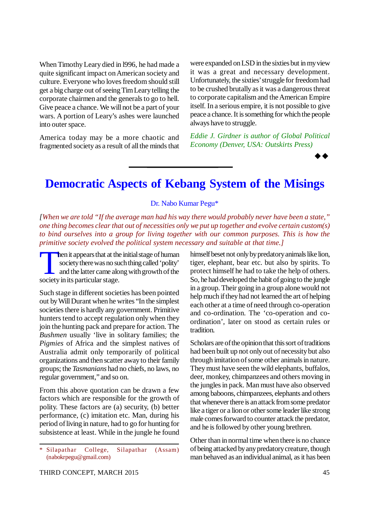When Timothy Leary died in l996, he had made a quite significant impact on American society and culture. Everyone who loves freedom should still get a big charge out of seeing Tim Leary telling the corporate chairmen and the generals to go to hell. Give peace a chance. We will not be a part of your wars. A portion of Leary's ashes were launched into outer space.

America today may be a more chaotic and fragmented society as a result of all the minds that

were expanded on LSD in the sixties but in my view it was a great and necessary development. Unfortunately, the sixties' struggle for freedom had to be crushed brutally as it was a dangerous threat to corporate capitalism and the American Empire itself. In a serious empire, it is not possible to give peace a chance. It is something for which the people always have to struggle.

*Eddie J. Girdner is author of Global Political Economy (Denver, USA: Outskirts Press)*



# **Democratic Aspects of Kebang System of the Misings**

### Dr. Nabo Kumar Pegu\*

*[When we are told "If the average man had his way there would probably never have been a state," one thing becomes clear that out of necessities only we put up together and evolve certain custom(s) to bind ourselves into a group for living together with our common purposes. This is how the primitive society evolved the political system necessary and suitable at that time.]*

**the society there was no summand the society in its particular stage.** hen it appears that at the initial stage of human society there was no such thing called 'polity' and the latter came along with growth of the

Such stage in different societies has been pointed out by Will Durant when he writes "In the simplest societies there is hardly any government. Primitive hunters tend to accept regulation only when they join the hunting pack and prepare for action. The *Bushmen* usually 'live in solitary families; the *Pigmies* of Africa and the simplest natives of Australia admit only temporarily of political organizations and then scatter away to their family groups; the *Tasmanians* had no chiefs, no laws, no regular government," and so on.

From this above quotation can be drawn a few factors which are responsible for the growth of polity. These factors are (a) security, (b) better performance, (c) imitation etc. Man, during his period of living in nature, had to go for hunting for subsistence at least. While in the jungle he found

himself beset not only by predatory animals like lion, tiger, elephant, bear etc. but also by spirits. To protect himself he had to take the help of others. So, he had developed the habit of going to the jungle in a group. Their going in a group alone would not help much if they had not learned the art of helping each other at a time of need through co-operation and co-ordination. The 'co-operation and coordination', later on stood as certain rules or tradition.

Scholars are of the opinion that this sort of traditions had been built up not only out of necessity but also through imitation of some other animals in nature. They must have seen the wild elephants, buffalos, deer, monkey, chimpanzees and others moving in the jungles in pack. Man must have also observed among baboons, chimpanzees, elephants and others that whenever there is an attack from some predator like a tiger or a lion or other some leader like strong male comes forward to counter attack the predator, and he is followed by other young brethren.

Other than in normal time when there is no chance of being attacked by any predatory creature, though man behaved as an individual animal, as it has been

<sup>\*</sup> Silapathar College, Silapathar (Assam) (nabokrpegu@gmail.com)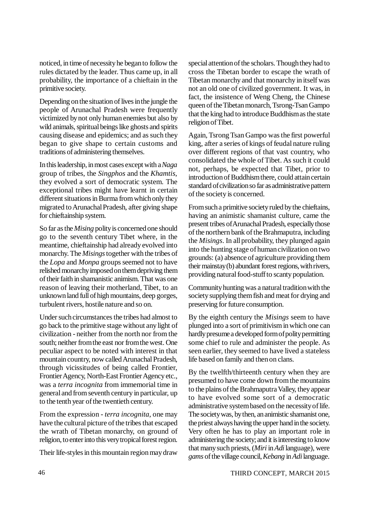noticed, in time of necessity he began to follow the rules dictated by the leader. Thus came up, in all probability, the importance of a chieftain in the primitive society.

Depending on the situation of lives in the jungle the people of Arunachal Pradesh were frequently victimized by not only human enemies but also by wild animals, spiritual beings like ghosts and spirits causing disease and epidemics; and as such they began to give shape to certain customs and traditions of administering themselves.

In this leadership, in most cases except with a *Naga* group of tribes, the *Singphos* and the *Khamtis*, they evolved a sort of democratic system. The exceptional tribes might have learnt in certain different situations in Burma from which only they migrated to Arunachal Pradesh, after giving shape for chieftainship system.

So far as the *Mising* polity is concerned one should go to the seventh century Tibet where, in the meantime, chieftainship had already evolved into monarchy. The *Misings* together with the tribes of the *Lopa* and *Monpa* groups seemed not to have relished monarchy imposed on them depriving them of their faith in shamanistic animism. That was one reason of leaving their motherland, Tibet, to an unknown land full of high mountains, deep gorges, turbulent rivers, hostile nature and so on.

Under such circumstances the tribes had almost to go back to the primitive stage without any light of civilization - neither from the north nor from the south; neither from the east nor from the west. One peculiar aspect to be noted with interest in that mountain country, now called Arunachal Pradesh, through vicissitudes of being called Frontier, Frontier Agency, North-East Frontier Agency etc., was a *terra incognita* from immemorial time in general and from seventh century in particular, up to the tenth year of the twentieth century.

From the expression - *terra incognita*, one may have the cultural picture of the tribes that escaped the wrath of Tibetan monarchy, on ground of religion, to enter into this very tropical forest region.

Their life-styles in this mountain region may draw

special attention of the scholars. Though they had to cross the Tibetan border to escape the wrath of Tibetan monarchy and that monarchy in itself was not an old one of civilized government. It was, in fact, the insistence of Weng Cheng, the Chinese queen of the Tibetan monarch, Tsrong-Tsan Gampo that the king had to introduce Buddhism as the state religion of Tibet.

Again, Tsrong Tsan Gampo was the first powerful king, after a series of kings of feudal nature ruling over different regions of that vast country, who consolidated the whole of Tibet. As such it could not, perhaps, be expected that Tibet, prior to introduction of Buddhism there, could attain certain standard of civilization so far as administrative pattern of the society is concerned.

From such a primitive society ruled by the chieftains, having an animistic shamanist culture, came the present tribes of Arunachal Pradesh, especially those of the northern bank of the Brahmaputra, including the *Misings*. In all probability, they plunged again into the hunting stage of human civilization on two grounds: (a) absence of agriculture providing them their mainstay (b) abundant forest regions, with rivers, providing natural food-stuff to scanty population.

Community hunting was a natural tradition with the society supplying them fish and meat for drying and preserving for future consumption.

By the eighth century the *Misings* seem to have plunged into a sort of primitivism in which one can hardly presume a developed form of polity permitting some chief to rule and administer the people. As seen earlier, they seemed to have lived a stateless life based on family and then on clans.

By the twelfth/thirteenth century when they are presumed to have come down from the mountains to the plains of the Brahmaputra Valley, they appear to have evolved some sort of a democratic administrative system based on the necessity of life. The society was, by then, an animistic shamanist one, the priest always having the upper hand in the society. Very often he has to play an important role in administering the society; and it is interesting to know that many such priests, (*Miri* in *Adi* language), were *gams* of the village council, *Kebang* in *Adi* language.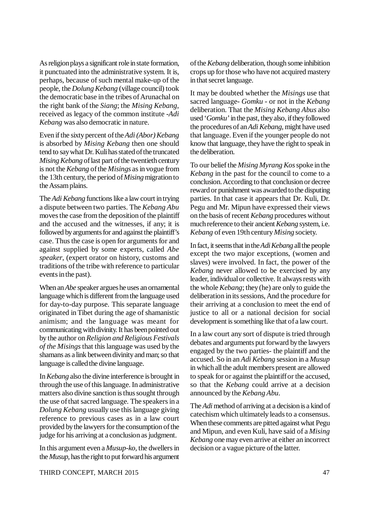As religion plays a significant role in state formation, it punctuated into the administrative system. It is, perhaps, because of such mental make-up of the people, the *Dolung Kebang* (village council) took the democratic base in the tribes of Arunachal on the right bank of the *Siang*; the *Mising Kebang*, received as legacy of the common institute -*Adi Kebang* was also democratic in nature.

Even if the sixty percent of the *Adi(Abor) Kebang* is absorbed by *Mising Kebang* then one should tend to say what Dr. Kuli has stated of the truncated *Mising Kebang* of last part of the twentieth century is not the *Kebang* of the *Misings* as in vogue from the 13th century, the period of *Mising* migration to the Assam plains.

The *Adi Kebang* functions like a law court in trying a dispute between two parties. The *Kebang Abu* moves the case from the deposition of the plaintiff and the accused and the witnesses, if any; it is followed by arguments for and against the plaintiff's case. Thus the case is open for arguments for and against supplied by some experts, called *Abe speaker*, (expert orator on history, customs and traditions of the tribe with reference to particular events in the past).

When an *Abe* speaker argues he uses an ornamental language which is different from the language used for day-to-day purpose. This separate language originated in Tibet during the age of shamanistic animism; and the language was meant for communicating with divinity. It has been pointed out by the author on *Religion and Religious Festivals of the Misings* that this language was used by the shamans as a link between divinity and man; so that language is called the divine language.

In *Kebang* also the divine interference is brought in through the use of this language. In administrative matters also divine sanction is thus sought through the use of that sacred language. The speakers in a *Dolung Kebang* usually use this language giving reference to previous cases as in a law court provided by the lawyers for the consumption of the judge for his arriving at a conclusion as judgment.

In this argument even a *Musup-ko,* the dwellers in the *Musup*, has the right to put forward his argument of the *Kebang* deliberation, though some inhibition crops up for those who have not acquired mastery in that secret language.

It may be doubted whether the *Misings* use that sacred language- *Gomku* - or not in the *Kebang* deliberation. That the *Mising Kebang Abus* also used '*Gomku'* in the past, they also, if they followed the procedures of an *Adi Kebang*, might have used that language. Even if the younger people do not know that language, they have the right to speak in the deliberation.

To our belief the *Mising Myrang Kos* spoke in the *Kebang* in the past for the council to come to a conclusion. According to that conclusion or decree reward or punishment was awarded to the disputing parties. In that case it appears that Dr. Kuli, Dr. Pegu and Mr. Mipun have expressed their views on the basis of recent *Kebang* procedures without much reference to their ancient *Kebang* system, i.e. *Kebang* of even 19th century *Mising* society.

In fact, it seems that in the *AdiKebang* all the people except the two major exceptions, (women and slaves) were involved. In fact, the power of the *Kebang* never allowed to be exercised by any leader, individual or collective. It always rests with the whole *Kebang*; they (he) are only to guide the deliberation in its sessions, And the procedure for their arriving at a conclusion to meet the end of justice to all or a national decision for social development is something like that of a law court.

In a law court any sort of dispute is tried through debates and arguments put forward by the lawyers engaged by the two parties- the plaintiff and the accused. So in an *Adi Kebang* session in a *Musup* in which all the adult members present are allowed to speak for or against the plaintiff or the accused, so that the *Kebang* could arrive at a decision announced by the *Kebang Abu*.

The *Adi* method of arriving at a decision is a kind of catechism which ultimately leads to a consensus. When these comments are pitted against what Pegu and Mipun, and even Kuli, have said of a *Mising Kebang* one may even arrive at either an incorrect decision or a vague picture of the latter.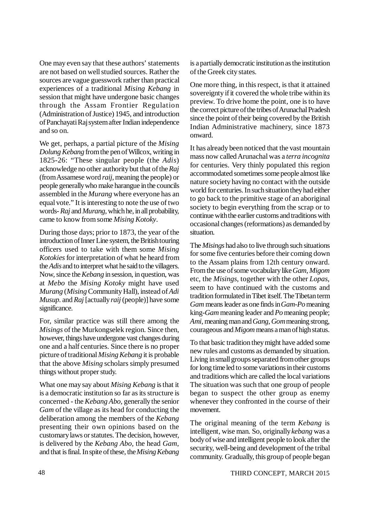One may even say that these authors' statements are not based on well studied sources. Rather the sources are vague guesswork rather than practical experiences of a traditional *Mising Kebang* in session that might have undergone basic changes through the Assam Frontier Regulation (Administration of Justice) 1945, and introduction of Panchayati Raj system after Indian independence and so on.

We get, perhaps, a partial picture of the *Mising Dolung Kebang* from the pen of Willcox, writing in 1825-26: "These singular people (the *Adis*) acknowledge no other authority but that of the *Raj* (from Assamese word *raij*, meaning the people) or people generally who make harangue in the councils assembled in the *Murang* where everyone has an equal vote." It is interesting to note the use of two words- *Raj* and *Murang*, which he, in all probability, came to know from some *Mising Kotoky*.

During those days; prior to 1873, the year of the introduction of Inner Line system, the British touring officers used to take with them some *Mising Kotokies* for interpretation of what he heard from the *Adis* and to interpret what he said to the villagers. Now, since the *Kebang* in session, in question, was at *Mebo* the *Mising Kotoky* might have used *Murang* (*Mising* Community Hall), instead of *Adi Musup*. and *Raj* [actually *raij* (people)] have some significance.

For, similar practice was still there among the *Misings* of the Murkongselek region. Since then, however, things have undergone vast changes during one and a half centuries. Since there is no proper picture of traditional *Mising Kebang* it is probable that the above *Mising* scholars simply presumed things without proper study.

What one may say about *Mising Kebang* is that it is a democratic institution so far as its structure is concerned - the *Kebang Abo*, generally the senior *Gam* of the village as its head for conducting the deliberation among the members of the *Kebang* presenting their own opinions based on the customary laws or statutes. The decision, however, is delivered by the *Kebang Abo,* the head *Gam*, and that is final. In spite of these, the *Mising Kebang* is a partially democratic institution as the institution of the Greek city states.

One more thing, in this respect, is that it attained sovereignty if it covered the whole tribe within its preview. To drive home the point, one is to have the correct picture of the tribes of Arunachal Pradesh since the point of their being covered by the British Indian Administrative machinery, since 1873 onward.

It has already been noticed that the vast mountain mass now called Arunachal was a *terra incognita* for centuries. Very thinly populated this region accommodated sometimes some people almost like nature society having no contact with the outside world for centuries. In such situation they had either to go back to the primitive stage of an aboriginal society to begin everything from the scrap or to continue with the earlier customs and traditions with occasional changes (reformations) as demanded by situation.

The *Misings* had also to live through such situations for some five centuries before their coming down to the Assam plains from 12th century onward. From the use of some vocabulary like *Gam, Migom* etc, the *Misings*, together with the other *Lopas*, seem to have continued with the customs and tradition formulated in Tibet itself. The Tibetan term *Gam* means leader as one finds in *Gam-Po* meaning king-*Gam* meaning leader and *Po* meaning people; *Ami*, meaning man and *Gang*, *Gom* meaning strong, courageous and *Migom* means a man of high status.

To that basic tradition they might have added some new rules and customs as demanded by situation. Living in small groups separated from other groups for long time led to some variations in their customs and traditions which are called the local variations The situation was such that one group of people began to suspect the other group as enemy whenever they confronted in the course of their movement.

The original meaning of the term *Kebang* is intelligent, wise man. So, originally *kebang* was a body of wise and intelligent people to look after the security, well-being and development of the tribal community. Gradually, this group of people began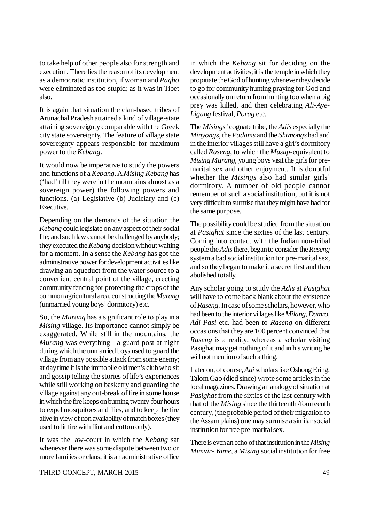to take help of other people also for strength and execution. There lies the reason of its development as a democratic institution, if woman and *Pagbo* were eliminated as too stupid; as it was in Tibet also.

It is again that situation the clan-based tribes of Arunachal Pradesh attained a kind of village-state attaining sovereignty comparable with the Greek city state sovereignty. The feature of village state sovereignty appears responsible for maximum power to the *Kebang*.

It would now be imperative to study the powers and functions of a *Kebang*. A *Mising Kebang* has ('had' till they were in the mountains almost as a sovereign power) the following powers and functions. (a) Legislative (b) Judiciary and (c) Executive.

Depending on the demands of the situation the *Kebang* could legislate on any aspect of their social life; and such law cannot be challenged by anybody; they executed the *Kebang* decision without waiting for a moment. In a sense the *Kebang* has got the administrative power for development activities like drawing an aqueduct from the water source to a convenient central point of the village, erecting community fencing for protecting the crops of the common agricultural area, constructing the *Murang* (unmarried young boys' dormitory) etc.

So, the *Murang* has a significant role to play in a *Mising* village. Its importance cannot simply be exaggerated. While still in the mountains, the *Murang* was everything - a guard post at night during which the unmarried boys used to guard the village from any possible attack from some enemy; at day time it is the immobile old men's club who sit and gossip telling the stories of life's experiences while still working on basketry and guarding the village against any out-break of fire in some house in which the fire keeps on burning twenty-four hours to expel mosquitoes and flies, and to keep the fire alive in view of non availability of match boxes (they used to lit fire with flint and cotton only).

It was the law-court in which the *Kebang* sat whenever there was some dispute between two or more families or clans, it is an administrative office

in which the *Kebang* sit for deciding on the development activities; it is the temple in which they propitiate the God of hunting whenever they decide to go for community hunting praying for God and occasionally on return from hunting too when a big prey was killed, and then celebrating *Ali-Aye-Ligang* festival, *Porag* etc.

The *Misings'* cognate tribe, the *Adis* especially the *Minyongs*, the *Padams* and the *Shimongs* had and in the interior villages still have a girl's dormitory called *Raseng*, to which the *Musup*-equivalent to *Mising Murang*, young boys visit the girls for premarital sex and other enjoyment. It is doubtful whether the *Misings* also had similar girls' dormitory. A number of old people cannot remember of such a social institution, but it is not very difficult to surmise that they might have had for the same purpose.

The possibility could be studied from the situation at *Pasighat* since the sixties of the last century. Coming into contact with the Indian non-tribal people the *Adis* there, began to consider the *Raseng* system a bad social institution for pre-marital sex, and so they began to make it a secret first and then abolished totally.

Any scholar going to study the *Adis* at *Pasighat* will have to come back blank about the existence of *Raseng*. In case of some scholars, however, who had been to the interior villages like *Milang*, *Damro*, *Adi Pasi* etc. had been to *Raseng* on different occasions that they are 100 percent convinced that *Raseng* is a reality; whereas a scholar visiting Pasighat may get nothing of it and in his writing he will not mention of such a thing.

Later on, of course, *Adi* scholars like Oshong Ering, Talom Gao (died since) wrote some articles in the local magazines. Drawing an analogy of situation at *Pasighat* from the sixties of the last century with that of the *Mising* since the thirteenth /fourteenth century, (the probable period of their migration to the Assam plains) one may surmise a similar social institution for free pre-marital sex.

There is even an echo of that institution in the *Mising Mimvir- Yame*, a *Mising* social institution for free

THIRD CONCEPT, MARCH 2015 49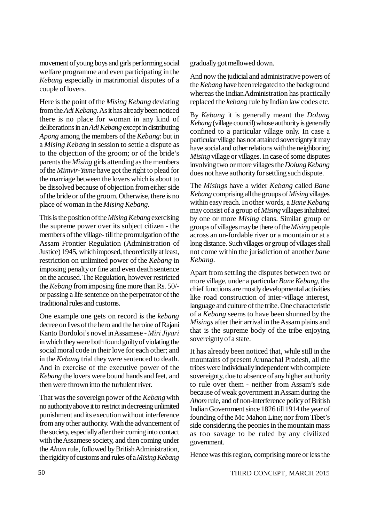movement of young boys and girls performing social welfare programme and even participating in the *Kebang* especially in matrimonial disputes of a couple of lovers.

Here is the point of the *Mising Kebang* deviating from the *Adi Kebang*. As it has already been noticed there is no place for woman in any kind of deliberations in an *Adi Kebang* except in distributing *Apong* among the members of the *Kebang*: but in a *Mising Kebang* in session to settle a dispute as to the objection of the groom; or of the bride's parents the *Mising* girls attending as the members of the *Mimvir-Yame* have got the right to plead for the marriage between the lovers which is about to be dissolved because of objection from either side of the bride or of the groom. Otherwise, there is no place of woman in the *Mising Kebang.*

This is the position of the *Mising Kebang* exercising the supreme power over its subject citizen - the members of the village- till the promulgation of the Assam Frontier Regulation (Administration of Justice) 1945, which imposed, theoretically at least, restriction on unlimited power of the *Kebang* in imposing penalty or fine and even death sentence on the accused. The Regulation, however restricted the *Kebang* from imposing fine more than Rs. 50/ or passing a life sentence on the perpetrator of the traditional rules and customs.

One example one gets on record is the *kebang* decree on lives of the hero and the heroine of Rajani Kanto Bordoloi's novel in Assamese - *Miri Jiyari* in which they were both found guilty of violating the social moral code in their love for each other; and in the *Kebang* trial they were sentenced to death. And in exercise of the executive power of the *Kebang* the lovers were bound hands and feet, and then were thrown into the turbulent river.

That was the sovereign power of the *Kebang* with no authority above it to restrict in decreeing unlimited punishment and its execution without interference from any other authority. With the advancement of the society, especially after their coming into contact with the Assamese society, and then coming under the *Ahom* rule, followed by British Administration, the rigidity of customs and rules of a *Mising Kebang*

gradually got mellowed down.

And now the judicial and administrative powers of the *Kebang* have been relegated to the background whereas the Indian Administration has practically replaced the *kebang* rule by Indian law codes etc.

By *Kebang* it is generally meant the *Dolung Kebang* (village council) whose authority is generally confined to a particular village only. In case a particular village has not attained sovereignty it may have social and other relations with the neighboring *Mising* village or villages. In case of some disputes involving two or more villages the *Dolung Kebang* does not have authority for settling such dispute.

The *Misings* have a wider *Kebang* called *Bane Kebang* comprising all the groups of *Mising* villages within easy reach. In other words, a *Bane Kebang* may consist of a group of *Mising* villages inhabited by one or more *Mising* clans. Similar group or groups of villages may be there of the *Mising* people across an un-fordable river or a mountain or at a long distance. Such villages or group of villages shall not come within the jurisdiction of another *bane Kebang*.

Apart from settling the disputes between two or more village, under a particular *Bane Kebang*, the chief functions are mostly developmental activities like road construction of inter-village interest, language and culture of the tribe. One characteristic of a *Kebang* seems to have been shunned by the *Misings* after their arrival in the Assam plains and that is the supreme body of the tribe enjoying sovereignty of a state.

It has already been noticed that, while still in the mountains of present Arunachal Pradesh, all the tribes were individually independent with complete sovereignty, due to absence of any higher authority to rule over them - neither from Assam's side because of weak government in Assam during the *Ahom* rule, and of non-interference policy of British Indian Government since 1826 till 1914 the year of founding of the Mc Mahon Line; nor from Tibet's side considering the peonies in the mountain mass as too savage to be ruled by any civilized government.

Hence was this region, comprising more or less the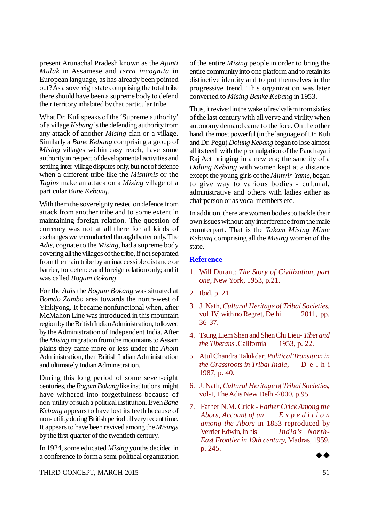present Arunachal Pradesh known as the *Ajanti Mulak* in Assamese and *terra incognita* in European language, as has already been pointed out? As a sovereign state comprising the total tribe there should have been a supreme body to defend their territory inhabited by that particular tribe.

What Dr. Kuli speaks of the 'Supreme authority' of a village *Kebang* is the defending authority from any attack of another *Mising* clan or a village. Similarly a *Bane Kebang* comprising a group of *Mising* villages within easy reach, have some authority in respect of developmental activities and settling inter-village disputes only, but not of defence when a different tribe like the *Mishimis* or the *Tagins* make an attack on a *Mising* village of a particular *Bane Kebang*.

With them the sovereignty rested on defence from attack from another tribe and to some extent in maintaining foreign relation. The question of currency was not at all there for all kinds of exchanges were conducted through barter only. The *Adis*, cognate to the *Mising*, had a supreme body covering all the villages of the tribe, if not separated from the main tribe by an inaccessible distance or barrier, for defence and foreign relation only; and it was called *Bogum Bokang*.

For the *Adis* the *Bogum Bokang* was situated at *Bomdo Zambo* area towards the north-west of Yinkiyong. It became nonfunctional when, after McMahon Line was introduced in this mountain region by the British Indian Administration, followed by the Administration of Independent India. After the *Mising* migration from the mountains to Assam plains they came more or less under the *Ahom* Administration, then British Indian Administration and ultimately Indian Administration.

During this long period of some seven-eight centuries, the *Bogum Bokang* like institutions might have withered into forgetfulness because of non-utility of such a political institution. Even *Bane Kebang* appears to have lost its teeth because of non- utility during British period till very recent time. It appears to have been revived among the *Misings* by the first quarter of the twentieth century.

In 1924, some educated *Mising* youths decided in a conference to form a semi-political organization of the entire *Mising* people in order to bring the entire community into one platform and to retain its distinctive identity and to put themselves in the progressive trend. This organization was later converted to *Mising Banke Kebang* in 1953.

Thus, it revived in the wake of revivalism from sixties of the last century with all verve and virility when autonomy demand came to the fore. On the other hand, the most powerful (in the language of Dr. Kuli and Dr. Pegu) *Dolung Kebang* began to lose almost all its teeth with the promulgation of the Panchayati Raj Act bringing in a new era; the sanctity of a *Dolung Kebang* with women kept at a distance except the young girls of the *Mimvir-Yame*, began to give way to various bodies - cultural, administrative and others with ladies either as chairperson or as vocal members etc.

In addition, there are women bodies to tackle their own issues without any interference from the male counterpart. That is the *Takam Mising Mime Kebang* comprising all the *Mising* women of the state.

#### **Reference**

- 1. Will Durant: *The Story of Civilization, part one,* New York, 1953, p.21.
- 2. Ibid, p. 21.
- 3. J. Nath, *Cultural Heritage of Tribal Societies*, vol. IV, with no Regret, Delhi 2011, pp. 36-37.
- 4. Tsung Liem Shen and Shen Chi Lieu- *Tibet and the Tibetans* .California 1953, p. 22.
- 5. Atul Chandra Talukdar, *Political Transition in the Grassroots in Tribal India*, D e l h i 1987, p. 40.
- 6. J. Nath, *Cultural Heritage of Tribal Societies*, vol-I, The Adis New Delhi-2000, p.95.
- 7. Father N.M. Crick *Father Crick Among the Abors, Account of an E x p e d i t i o n among the Abors* in 1853 reproduced by Verrier Edwin, in his *India's North-East Frontier in 19th century,* Madras*,* 1959, p. 245.  $\rightarrow \rightarrow$

THIRD CONCEPT, MARCH 2015 51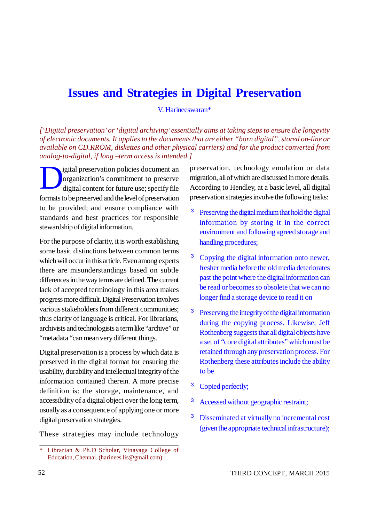# **Issues and Strategies in Digital Preservation**

V. Harineeswaran\*

*['Digital preservation' or 'digital archiving' essentially aims at taking steps to ensure the longevity of electronic documents. It applies to the documents that are either "born digital", stored on-line or available on CD.RROM, diskettes and other physical carriers) and for the product converted from analog-to-digital, if long –term access is intended.]*

D igital preservation policies document an organization's commitment to preserve digital content for future use; specify file formats to be preserved and the level of preservation to be provided; and ensure compliance with standards and best practices for responsible stewardship of digital information.

For the purpose of clarity, it is worth establishing some basic distinctions between common terms which will occur in this article. Even among experts there are misunderstandings based on subtle differences in the way terms are defined. The current lack of accepted terminology in this area makes progress more difficult. Digital Preservation involves various stakeholders from different communities; thus clarity of language is critical. For librarians, archivists and technologists a term like "archive" or "metadata "can mean very different things.

Digital preservation is a process by which data is preserved in the digital format for ensuring the usability, durability and intellectual integrity of the information contained therein. A more precise definition is: the storage, maintenance, and accessibility of a digital object over the long term, usually as a consequence of applying one or more digital preservation strategies.

These strategies may include technology

preservation, technology emulation or data migration, all of which are discussed in more details. According to Hendley, at a basic level, all digital preservation strategies involve the following tasks:

- <sup>3</sup> Preserving the digital medium that hold the digital information by storing it in the correct environment and following agreed storage and handling procedures;
- <sup>3</sup> Copying the digital information onto newer, fresher media before the old media deteriorates past the point where the digital information can be read or becomes so obsolete that we can no longer find a storage device to read it on
- <sup>3</sup> Preserving the integrity of the digital information during the copying process. Likewise, Jeff Rothenberg suggests that all digital objects have a set of "core digital attributes" which must be retained through any preservation process. For Rothenberg these attributes include the ability to be
- <sup>3</sup> Copied perfectly;
- <sup>3</sup> Accessed without geographic restraint;
- <sup>3</sup> Disseminated at virtually no incremental cost (given the appropriate technical infrastructure);

Librarian & Ph.D Scholar, Vinayaga College of Education, Chennai. (harinees.lis@gmail.com)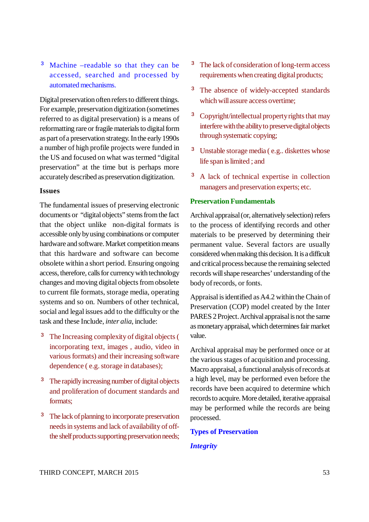³ Machine –readable so that they can be accessed, searched and processed by automated mechanisms.

Digital preservation often refers to different things. For example, preservation digitization (sometimes referred to as digital preservation) is a means of reformatting rare or fragile materials to digital form as part of a preservation strategy. In the early 1990s a number of high profile projects were funded in the US and focused on what was termed "digital preservation" at the time but is perhaps more accurately described as preservation digitization.

### **Issues**

The fundamental issues of preserving electronic documents or "digital objects" stems from the fact that the object unlike non-digital formats is accessible only by using combinations or computer hardware and software. Market competition means that this hardware and software can become obsolete within a short period. Ensuring ongoing access, therefore, calls for currency with technology changes and moving digital objects from obsolete to current file formats, storage media, operating systems and so on. Numbers of other technical, social and legal issues add to the difficulty or the task and these Include, *inter alia*, include:

- <sup>3</sup> The Increasing complexity of digital objects ( incorporating text, images , audio, video in various formats) and their increasing software dependence ( e.g. storage in databases);
- <sup>3</sup> The rapidly increasing number of digital objects and proliferation of document standards and formats;
- <sup>3</sup> The lack of planning to incorporate preservation needs in systems and lack of availability of offthe shelf products supporting preservation needs;
- <sup>3</sup> The lack of consideration of long-term access requirements when creating digital products;
- <sup>3</sup> The absence of widely-accepted standards which will assure access overtime;
- <sup>3</sup> Copyright/intellectual property rights that may interfere with the ability to preserve digital objects through systematic copying;
- <sup>3</sup> Unstable storage media ( e.g.. diskettes whose life span is limited ; and
- <sup>3</sup> A lack of technical expertise in collection managers and preservation experts; etc.

## **Preservation Fundamentals**

Archival appraisal (or, alternatively selection) refers to the process of identifying records and other materials to be preserved by determining their permanent value. Several factors are usually considered when making this decision. It is a difficult and critical process because the remaining selected records will shape researches' understanding of the body of records, or fonts.

Appraisal is identified as A4.2 within the Chain of Preservation (COP) model created by the Inter PARES 2 Project. Archival appraisal is not the same as monetary appraisal, which determines fair market value.

Archival appraisal may be performed once or at the various stages of acquisition and processing. Macro appraisal, a functional analysis of records at a high level, may be performed even before the records have been acquired to determine which records to acquire. More detailed, iterative appraisal may be performed while the records are being processed.

# **Types of Preservation**

## *Integrity*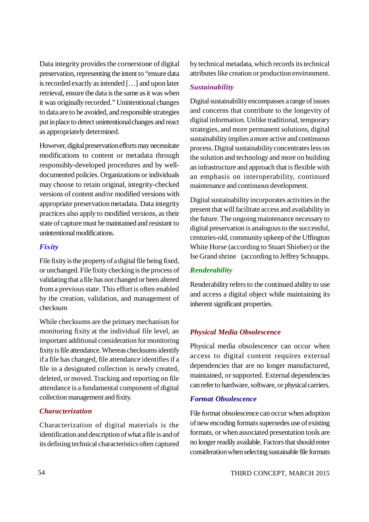Data integrity provides the cornerstone of digital preservation, representing the intent to "ensure data is recorded exactly as intended […] and upon later retrieval, ensure the data is the same as it was when it was originally recorded." Unintentional changes to data are to be avoided, and responsible strategies put in place to detect unintentional changes and react as appropriately determined.

However, digital preservation efforts may necessitate modifications to content or metadata through responsibly-developed procedures and by welldocumented policies. Organizations or individuals may choose to retain original, integrity-checked versions of content and/or modified versions with appropriate preservation metadata. Data integrity practices also apply to modified versions, as their state of capture must be maintained and resistant to unintentional modifications.

### *Fixity*

File fixity is the property of a digital file being fixed, or unchanged. File fixity checking is the process of validating that a file has not changed or been altered from a previous state. This effort is often enabled by the creation, validation, and management of checksum

While checksums are the primary mechanism for monitoring fixity at the individual file level, an important additional consideration for monitoring fixity is file attendance. Whereas checksums identify if a file has changed, file attendance identifies if a file in a designated collection is newly created, deleted, or moved. Tracking and reporting on file attendance is a fundamental component of digital collection management and fixity.

## *Characterization*

Characterization of digital materials is the identification and description of what a file is and of its defining technical characteristics often captured

by technical metadata, which records its technical attributes like creation or production environment.

## *Sustainability*

Digital sustainability encompasses a range of issues and concerns that contribute to the longevity of digital information. Unlike traditional, temporary strategies, and more permanent solutions, digital sustainability implies a more active and continuous process. Digital sustainability concentrates less on the solution and technology and more on building an infrastructure and approach that is flexible with an emphasis on interoperability, continued maintenance and continuous development.

Digital sustainability incorporates activities in the present that will facilitate access and availability in the future. The ongoing maintenance necessary to digital preservation is analogous to the successful, centuries-old, community upkeep of the Uffington White Horse (according to Stuart Shieber) or the Ise Grand shrine (according to Jeffrey Schnapps.

## *Renderability*

Renderability refers to the continued ability to use and access a digital object while maintaining its inherent significant properties.

## *Physical Media Obsolescence*

Physical media obsolescence can occur when access to digital content requires external dependencies that are no longer manufactured, maintained, or supported. External dependencies can refer to hardware, software, or physical carriers.

## *Format Obsolescence*

File format obsolescence can occur when adoption of new encoding formats supersedes use of existing formats, or when associated presentation tools are no longer readily available. Factors that should enter consideration when selecting sustainable file formats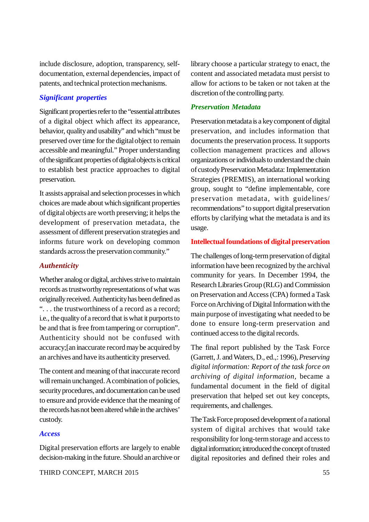include disclosure, adoption, transparency, selfdocumentation, external dependencies, impact of patents, and technical protection mechanisms.

## *Significant properties*

Significant properties refer to the "essential attributes of a digital object which affect its appearance, behavior, quality and usability" and which "must be preserved over time for the digital object to remain accessible and meaningful." Proper understanding of the significant properties of digital objects is critical to establish best practice approaches to digital preservation.

It assists appraisal and selection processes in which choices are made about which significant properties of digital objects are worth preserving; it helps the development of preservation metadata, the assessment of different preservation strategies and informs future work on developing common standards across the preservation community."

### *Authenticity*

Whether analog or digital, archives strive to maintain records as trustworthy representations of what was originally received. Authenticity has been defined as ". . . the trustworthiness of a record as a record; i.e., the quality of a record that is what it purports to be and that is free from tampering or corruption". Authenticity should not be confused with accuracy;[an inaccurate record may be acquired by an archives and have its authenticity preserved.

The content and meaning of that inaccurate record will remain unchanged. A combination of policies, security procedures, and documentation can be used to ensure and provide evidence that the meaning of the records has not been altered while in the archives' custody.

### *Access*

Digital preservation efforts are largely to enable decision-making in the future. Should an archive or

THIRD CONCEPT, MARCH 2015 55

library choose a particular strategy to enact, the content and associated metadata must persist to allow for actions to be taken or not taken at the discretion of the controlling party.

### *Preservation Metadata*

Preservation metadata is a key component of digital preservation, and includes information that documents the preservation process. It supports collection management practices and allows organizations or individuals to understand the chain of custody Preservation Metadata: Implementation Strategies (PREMIS), an international working group, sought to "define implementable, core preservation metadata, with guidelines/ recommendations" to support digital preservation efforts by clarifying what the metadata is and its usage.

### **Intellectual foundations of digital preservation**

The challenges of long-term preservation of digital information have been recognized by the archival community for years. In December 1994, the Research Libraries Group (RLG) and Commission on Preservation and Access (CPA) formed a Task Force on Archiving of Digital Information with the main purpose of investigating what needed to be done to ensure long-term preservation and continued access to the digital records.

The final report published by the Task Force (Garrett, J. and Waters, D., ed.,: 1996), *Preserving digital information: Report of the task force on archiving of digital information,* became a fundamental document in the field of digital preservation that helped set out key concepts, requirements, and challenges.

The Task Force proposed development of a national system of digital archives that would take responsibility for long-term storage and access to digital information; introduced the concept of trusted digital repositories and defined their roles and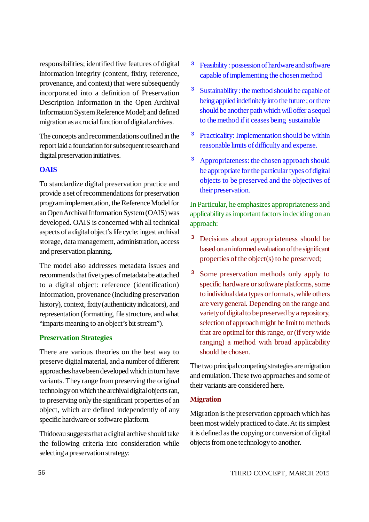responsibilities; identified five features of digital information integrity (content, fixity, reference, provenance, and context) that were subsequently incorporated into a definition of Preservation Description Information in the Open Archival Information System Reference Model; and defined migration as a crucial function of digital archives.

The concepts and recommendations outlined in the report laid a foundation for subsequent research and digital preservation initiatives.

## **OAIS**

To standardize digital preservation practice and provide a set of recommendations for preservation program implementation, the Reference Model for an Open Archival Information System (OAIS) was developed. OAIS is concerned with all technical aspects of a digital object's life cycle: ingest archival storage, data management, administration, access and preservation planning.

The model also addresses metadata issues and recommends that five types of metadata be attached to a digital object: reference (identification) information, provenance (including preservation history), context, fixity (authenticity indicators), and representation (formatting, file structure, and what "imparts meaning to an object's bit stream").

### **Preservation Strategies**

There are various theories on the best way to preserve digital material, and a number of different approaches have been developed which in turn have variants. They range from preserving the original technology on which the archival digital objects ran, to preserving only the significant properties of an object, which are defined independently of any specific hardware or software platform.

Thidoeau suggests that a digital archive should take the following criteria into consideration while selecting a preservation strategy:

- <sup>3</sup> Feasibility : possession of hardware and software capable of implementing the chosen method
- <sup>3</sup> Sustainability : the method should be capable of being applied indefinitely into the future ; or there should be another path which will offer a sequel to the method if it ceases being sustainable
- <sup>3</sup> Practicality: Implementation should be within reasonable limits of difficulty and expense.
- <sup>3</sup> Appropriateness: the chosen approach should be appropriate for the particular types of digital objects to be preserved and the objectives of their preservation.

In Particular, he emphasizes appropriateness and applicability as important factors in deciding on an approach:

- <sup>3</sup> Decisions about appropriateness should be based on an informed evaluation of the significant properties of the object(s) to be preserved;
- <sup>3</sup> Some preservation methods only apply to specific hardware or software platforms, some to individual data types or formats, while others are very general. Depending on the range and variety of digital to be preserved by a repository, selection of approach might be limit to methods that are optimal for this range, or (if very wide ranging) a method with broad applicability should be chosen.

The two principal competing strategies are migration and emulation. These two approaches and some of their variants are considered here.

## **Migration**

Migration is the preservation approach which has been most widely practiced to date. At its simplest it is defined as the copying or conversion of digital objects from one technology to another.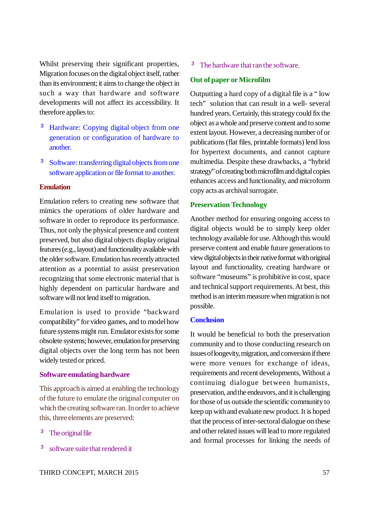Whilst preserving their significant properties, Migration focuses on the digital object itself, rather than its environment; it aims to change the object in such a way that hardware and software developments will not affect its accessibility. It therefore applies to:

- <sup>3</sup> Hardware: Copying digital object from one generation or configuration of hardware to another.
- <sup>3</sup> Software: transferring digital objects from one software application or file format to another.

### **Emulation**

Emulation refers to creating new software that mimics the operations of older hardware and software in order to reproduce its performance. Thus, not only the physical presence and content preserved, but also digital objects display original features (e.g., layout) and functionality available with the older software. Emulation has recently attracted attention as a potential to assist preservation recognizing that some electronic material that is highly dependent on particular hardware and software will not lend itself to migration.

Emulation is used to provide "backward compatibility" for video games, and to model how future systems might run. Emulator exists for some obsolete systems; however, emulation for preserving digital objects over the long term has not been widely tested or priced.

### **Software emulating hardware**

This approach is aimed at enabling the technology of the future to emulate the original computer on which the creating software ran. In order to achieve this, three elements are preserved:

- <sup>3</sup> The original file
- <sup>3</sup> software suite that rendered it

<sup>3</sup> The hardware that ran the software.

### **Out of paper or Microfilm**

Outputting a hard copy of a digital file is a " low tech" solution that can result in a well- several hundred years. Certainly, this strategy could fix the object as a whole and preserve content and to some extent layout. However, a decreasing number of or publications (flat files, printable formats) lend loss for hypertext documents, and cannot capture multimedia. Despite these drawbacks, a "hybrid strategy" of creating both microfilm and digital copies enhances access and functionality, and microform copy acts as archival surrogate.

### **Preservation Technology**

Another method for ensuring ongoing access to digital objects would be to simply keep older technology available for use. Although this would preserve content and enable future generations to view digital objects in their native format with original layout and functionality, creating hardware or software "museums" is prohibitive in cost, space and technical support requirements. At best, this method is an interim measure when migration is not possible.

### **Conclusion**

It would be beneficial to both the preservation community and to those conducting research on issues of longevity, migration, and conversion if there were more venues for exchange of ideas, requirements and recent developments, Without a continuing dialogue between humanists, preservation, and the endeavors, and it is challenging for those of us outside the scientific community to keep up with and evaluate new product. It is hoped that the process of inter-sectoral dialogue on these and other related issues will lead to more regulated and formal processes for linking the needs of